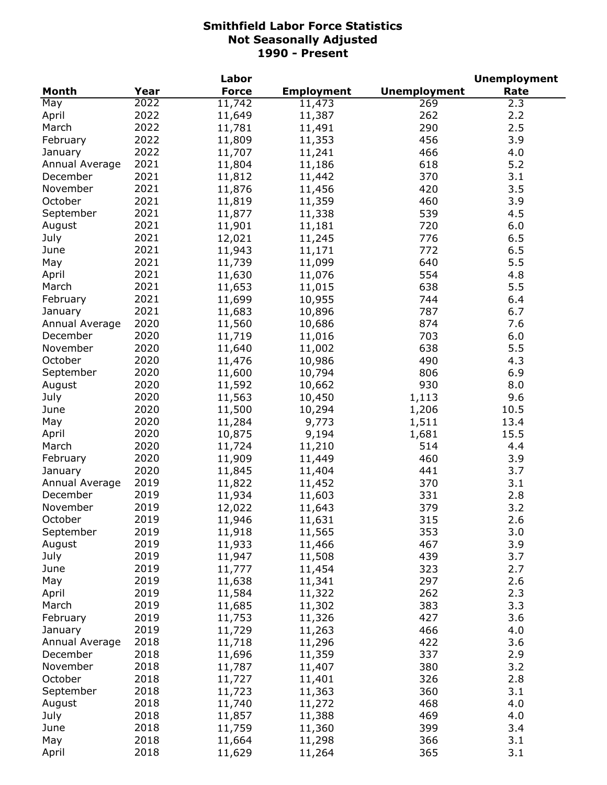|                |      | Labor        |                   |                     | <b>Unemployment</b> |
|----------------|------|--------------|-------------------|---------------------|---------------------|
| Month          | Year | <b>Force</b> | <b>Employment</b> | <b>Unemployment</b> | Rate                |
| May            | 2022 | 11,742       | 11,473            | 269                 | 2.3                 |
| April          | 2022 | 11,649       | 11,387            | 262                 | 2.2                 |
| March          | 2022 | 11,781       | 11,491            | 290                 | 2.5                 |
| February       | 2022 | 11,809       | 11,353            | 456                 | 3.9                 |
| January        | 2022 | 11,707       | 11,241            | 466                 | 4.0                 |
| Annual Average | 2021 | 11,804       | 11,186            | 618                 | 5.2                 |
| December       | 2021 | 11,812       | 11,442            | 370                 | 3.1                 |
| November       | 2021 | 11,876       | 11,456            | 420                 | 3.5                 |
| October        | 2021 | 11,819       | 11,359            | 460                 | 3.9                 |
| September      | 2021 | 11,877       | 11,338            | 539                 | 4.5                 |
| August         | 2021 | 11,901       | 11,181            | 720                 | 6.0                 |
| July           | 2021 | 12,021       | 11,245            | 776                 | 6.5                 |
| June           | 2021 | 11,943       | 11,171            | 772                 | 6.5                 |
| May            | 2021 | 11,739       | 11,099            | 640                 | 5.5                 |
| April          | 2021 | 11,630       | 11,076            | 554                 | 4.8                 |
| March          | 2021 | 11,653       | 11,015            | 638                 | 5.5                 |
| February       | 2021 | 11,699       | 10,955            | 744                 | 6.4                 |
| January        | 2021 | 11,683       | 10,896            | 787                 | 6.7                 |
| Annual Average | 2020 | 11,560       | 10,686            | 874                 | 7.6                 |
| December       | 2020 | 11,719       | 11,016            | 703                 | 6.0                 |
| November       | 2020 | 11,640       | 11,002            | 638                 | 5.5                 |
| October        | 2020 | 11,476       | 10,986            | 490                 | 4.3                 |
| September      | 2020 | 11,600       | 10,794            | 806                 | 6.9                 |
| August         | 2020 | 11,592       | 10,662            | 930                 | 8.0                 |
| July           | 2020 | 11,563       | 10,450            | 1,113               | 9.6                 |
| June           | 2020 | 11,500       | 10,294            | 1,206               | 10.5                |
| May            | 2020 | 11,284       | 9,773             | 1,511               | 13.4                |
| April          | 2020 | 10,875       | 9,194             | 1,681               | 15.5                |
| March          | 2020 | 11,724       | 11,210            | 514                 | 4.4                 |
| February       | 2020 | 11,909       | 11,449            | 460                 | 3.9                 |
| January        | 2020 | 11,845       | 11,404            | 441                 | 3.7                 |
| Annual Average | 2019 | 11,822       | 11,452            | 370                 | 3.1                 |
| December       | 2019 | 11,934       | 11,603            | 331                 | 2.8                 |
| November       | 2019 | 12,022       | 11,643            | 379                 | 3.2                 |
| October        | 2019 | 11,946       | 11,631            | 315                 | 2.6                 |
| September      | 2019 | 11,918       | 11,565            | 353                 | 3.0                 |
| August         | 2019 | 11,933       | 11,466            | 467                 | 3.9                 |
| July           | 2019 | 11,947       | 11,508            | 439                 | 3.7                 |
| June           | 2019 | 11,777       | 11,454            | 323                 | 2.7                 |
| May            | 2019 | 11,638       | 11,341            | 297                 | 2.6                 |
| April          | 2019 | 11,584       | 11,322            | 262                 | 2.3                 |
| March          | 2019 | 11,685       | 11,302            | 383                 | 3.3                 |
| February       | 2019 | 11,753       | 11,326            | 427                 | 3.6                 |
| January        | 2019 | 11,729       | 11,263            | 466                 | 4.0                 |
| Annual Average | 2018 | 11,718       | 11,296            | 422                 | 3.6                 |
| December       | 2018 | 11,696       | 11,359            | 337                 | 2.9                 |
| November       | 2018 | 11,787       | 11,407            | 380                 | 3.2                 |
| October        | 2018 | 11,727       | 11,401            | 326                 | 2.8                 |
| September      | 2018 | 11,723       | 11,363            | 360                 | 3.1                 |
| August         | 2018 | 11,740       | 11,272            | 468                 | 4.0                 |
| July           | 2018 | 11,857       | 11,388            | 469                 | 4.0                 |
| June           | 2018 | 11,759       | 11,360            | 399                 | 3.4                 |
| May            | 2018 | 11,664       | 11,298            | 366                 | 3.1                 |
| April          | 2018 | 11,629       | 11,264            | 365                 | 3.1                 |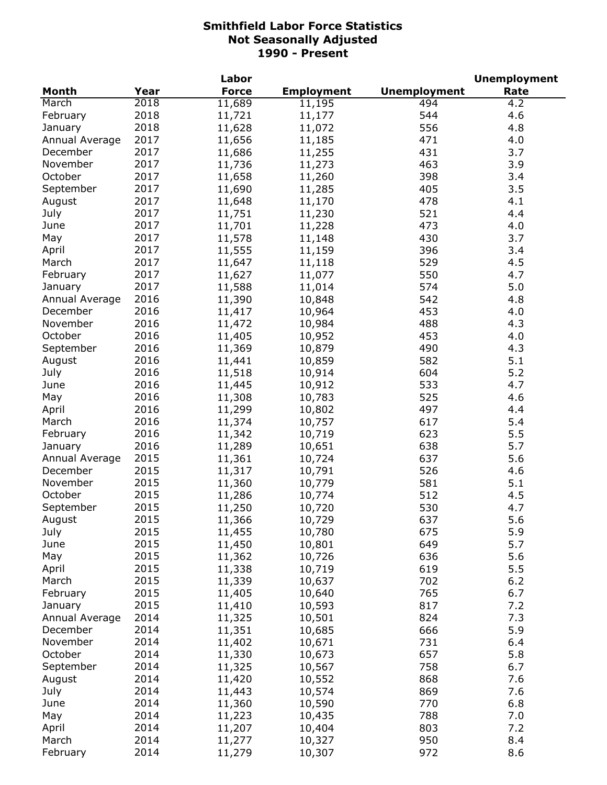|                |      | Labor        |                   |                     | <b>Unemployment</b> |
|----------------|------|--------------|-------------------|---------------------|---------------------|
| <b>Month</b>   | Year | <b>Force</b> | <b>Employment</b> | <b>Unemployment</b> | Rate                |
| March          | 2018 | 11,689       | 11,195            | 494                 | 4.2                 |
| February       | 2018 | 11,721       | 11,177            | 544                 | 4.6                 |
| January        | 2018 | 11,628       | 11,072            | 556                 | 4.8                 |
| Annual Average | 2017 | 11,656       | 11,185            | 471                 | 4.0                 |
| December       | 2017 | 11,686       | 11,255            | 431                 | 3.7                 |
| November       | 2017 | 11,736       | 11,273            | 463                 | 3.9                 |
| October        | 2017 | 11,658       | 11,260            | 398                 | 3.4                 |
| September      | 2017 | 11,690       | 11,285            | 405                 | 3.5                 |
| August         | 2017 | 11,648       | 11,170            | 478                 | 4.1                 |
| July           | 2017 | 11,751       | 11,230            | 521                 | 4.4                 |
| June           | 2017 | 11,701       | 11,228            | 473                 | 4.0                 |
| May            | 2017 | 11,578       | 11,148            | 430                 | 3.7                 |
| April          | 2017 | 11,555       | 11,159            | 396                 | 3.4                 |
| March          | 2017 | 11,647       | 11,118            | 529                 | 4.5                 |
| February       | 2017 | 11,627       | 11,077            | 550                 | 4.7                 |
| January        | 2017 | 11,588       | 11,014            | 574                 | 5.0                 |
| Annual Average | 2016 | 11,390       | 10,848            | 542                 | 4.8                 |
| December       | 2016 | 11,417       | 10,964            | 453                 | 4.0                 |
| November       | 2016 | 11,472       | 10,984            | 488                 | 4.3                 |
| October        | 2016 | 11,405       | 10,952            | 453                 | 4.0                 |
| September      | 2016 | 11,369       |                   | 490                 | 4.3                 |
|                | 2016 |              | 10,879            |                     | 5.1                 |
| August         |      | 11,441       | 10,859            | 582                 |                     |
| July           | 2016 | 11,518       | 10,914            | 604                 | 5.2                 |
| June           | 2016 | 11,445       | 10,912            | 533                 | 4.7                 |
| May            | 2016 | 11,308       | 10,783            | 525                 | 4.6                 |
| April          | 2016 | 11,299       | 10,802            | 497                 | 4.4                 |
| March          | 2016 | 11,374       | 10,757            | 617                 | 5.4                 |
| February       | 2016 | 11,342       | 10,719            | 623                 | 5.5                 |
| January        | 2016 | 11,289       | 10,651            | 638                 | 5.7                 |
| Annual Average | 2015 | 11,361       | 10,724            | 637                 | 5.6                 |
| December       | 2015 | 11,317       | 10,791            | 526                 | 4.6                 |
| November       | 2015 | 11,360       | 10,779            | 581                 | 5.1                 |
| October        | 2015 | 11,286       | 10,774            | 512                 | 4.5                 |
| September      | 2015 | 11,250       | 10,720            | 530                 | 4.7                 |
| August         | 2015 | 11,366       | 10,729            | 637                 | 5.6                 |
| July           | 2015 | 11,455       | 10,780            | 675                 | 5.9                 |
| June           | 2015 | 11,450       | 10,801            | 649                 | 5.7                 |
| May            | 2015 | 11,362       | 10,726            | 636                 | 5.6                 |
| April          | 2015 | 11,338       | 10,719            | 619                 | 5.5                 |
| March          | 2015 | 11,339       | 10,637            | 702                 | $6.2$               |
| February       | 2015 | 11,405       | 10,640            | 765                 | 6.7                 |
| January        | 2015 | 11,410       | 10,593            | 817                 | 7.2                 |
| Annual Average | 2014 | 11,325       | 10,501            | 824                 | 7.3                 |
| December       | 2014 | 11,351       | 10,685            | 666                 | 5.9                 |
| November       | 2014 | 11,402       | 10,671            | 731                 | 6.4                 |
| October        | 2014 | 11,330       | 10,673            | 657                 | 5.8                 |
| September      | 2014 | 11,325       | 10,567            | 758                 | 6.7                 |
| August         | 2014 | 11,420       | 10,552            | 868                 | 7.6                 |
| July           | 2014 | 11,443       | 10,574            | 869                 | 7.6                 |
| June           | 2014 | 11,360       | 10,590            | 770                 | 6.8                 |
| May            | 2014 | 11,223       | 10,435            | 788                 | 7.0                 |
| April          | 2014 | 11,207       | 10,404            | 803                 | 7.2                 |
| March          | 2014 | 11,277       | 10,327            | 950                 | 8.4                 |
| February       | 2014 | 11,279       | 10,307            | 972                 | 8.6                 |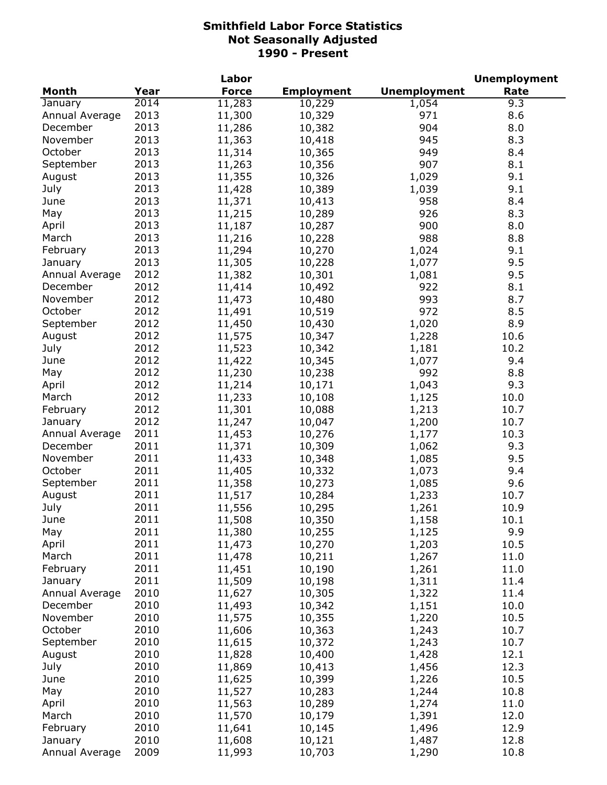| Month<br><b>Force</b><br><b>Employment</b><br><b>Unemployment</b><br>Year<br>Rate<br>2014<br>11,283<br>9.3<br>January<br>10,229<br>1,054<br>2013<br>11,300<br>971<br>8.6<br>Annual Average<br>10,329<br>2013<br>11,286<br>904<br>8.0<br>December<br>10,382<br>2013<br>November<br>945<br>8.3<br>11,363<br>10,418<br>2013<br>October<br>949<br>11,314<br>10,365<br>8.4<br>2013<br>907<br>8.1<br>September<br>11,263<br>10,356<br>2013<br>1,029<br>9.1<br>11,355<br>10,326<br>August<br>2013<br>9.1<br>July<br>11,428<br>10,389<br>1,039<br>2013<br>958<br>8.4<br>June<br>11,371<br>10,413<br>2013<br>May<br>926<br>8.3<br>11,215<br>10,289<br>2013<br>11,187<br>900<br>8.0<br>April<br>10,287<br>2013<br>988<br>11,216<br>8.8<br>March<br>10,228<br>2013<br>11,294<br>10,270<br>1,024<br>9.1<br>February<br>2013<br>11,305<br>1,077<br>9.5<br>10,228<br>January<br>2012<br>11,382<br>1,081<br>9.5<br>Annual Average<br>10,301<br>2012<br>11,414<br>922<br>8.1<br>December<br>10,492<br>2012<br>993<br>11,473<br>8.7<br>November<br>10,480<br>2012<br>972<br>October<br>11,491<br>8.5<br>10,519<br>2012<br>September<br>11,450<br>1,020<br>8.9<br>10,430<br>2012<br>August<br>11,575<br>10,347<br>1,228<br>10.6<br>2012<br>July<br>11,523<br>10,342<br>10.2<br>1,181<br>2012<br>11,422<br>9.4<br>June<br>10,345<br>1,077<br>2012<br>992<br>8.8<br>May<br>11,230<br>10,238<br>2012<br>11,214<br>1,043<br>10,171<br>9.3<br>April<br>2012<br>10.0<br>March<br>11,233<br>10,108<br>1,125<br>2012<br>11,301<br>1,213<br>February<br>10,088<br>10.7<br>2012<br>1,200<br>January<br>11,247<br>10,047<br>10.7<br>2011<br>11,453<br>10.3<br>Annual Average<br>10,276<br>1,177<br>2011<br>December<br>11,371<br>1,062<br>9.3<br>10,309<br>2011<br>11,433<br>1,085<br>9.5<br>November<br>10,348<br>2011<br>October<br>11,405<br>1,073<br>10,332<br>9.4<br>2011<br>11,358<br>9.6<br>September<br>10,273<br>1,085<br>2011<br>11,517<br>August<br>10,284<br>1,233<br>10.7<br>2011<br>July<br>11,556<br>10,295<br>1,261<br>10.9<br>June<br>2011<br>10.1<br>11,508<br>10,350<br>1,158<br>2011<br>9.9<br>May<br>11,380<br>10,255<br>1,125<br>2011<br>10.5<br>April<br>11,473<br>10,270<br>1,203<br>2011<br>March<br>11,478<br>10,211<br>1,267<br>11.0<br>2011<br>11,451<br>10,190<br>11.0<br>February<br>1,261<br>2011<br>11,509<br>10,198<br>1,311<br>11.4<br>January<br>2010<br>Annual Average<br>11,627<br>10,305<br>1,322<br>11.4<br>2010<br>December<br>11,493<br>10,342<br>1,151<br>10.0<br>2010<br>November<br>11,575<br>10,355<br>1,220<br>10.5<br>2010<br>October<br>11,606<br>10,363<br>1,243<br>10.7<br>2010<br>11,615<br>September<br>10,372<br>1,243<br>10.7<br>2010<br>11,828<br>August<br>10,400<br>1,428<br>12.1<br>2010<br>11,869<br>1,456<br>July<br>10,413<br>12.3<br>2010<br>11,625<br>1,226<br>10.5<br>June<br>10,399<br>2010<br>11,527<br>10.8<br>May<br>10,283<br>1,244<br>2010<br>11,563<br>April<br>10,289<br>1,274<br>11.0<br>2010<br>March<br>11,570<br>1,391<br>12.0<br>10,179<br>2010<br>February<br>11,641<br>10,145<br>1,496<br>12.9<br>2010<br>January<br>11,608<br>10,121<br>1,487<br>12.8 |  | Labor |  | <b>Unemployment</b> |
|----------------------------------------------------------------------------------------------------------------------------------------------------------------------------------------------------------------------------------------------------------------------------------------------------------------------------------------------------------------------------------------------------------------------------------------------------------------------------------------------------------------------------------------------------------------------------------------------------------------------------------------------------------------------------------------------------------------------------------------------------------------------------------------------------------------------------------------------------------------------------------------------------------------------------------------------------------------------------------------------------------------------------------------------------------------------------------------------------------------------------------------------------------------------------------------------------------------------------------------------------------------------------------------------------------------------------------------------------------------------------------------------------------------------------------------------------------------------------------------------------------------------------------------------------------------------------------------------------------------------------------------------------------------------------------------------------------------------------------------------------------------------------------------------------------------------------------------------------------------------------------------------------------------------------------------------------------------------------------------------------------------------------------------------------------------------------------------------------------------------------------------------------------------------------------------------------------------------------------------------------------------------------------------------------------------------------------------------------------------------------------------------------------------------------------------------------------------------------------------------------------------------------------------------------------------------------------------------------------------------------------------------------------------------------------------------------------------------------------------------------------------------------------------------------------------------------------------------------------------------------------------------------------------------------------------------------------------------------------------------------------------------------------------------------------------------------------------------------------|--|-------|--|---------------------|
|                                                                                                                                                                                                                                                                                                                                                                                                                                                                                                                                                                                                                                                                                                                                                                                                                                                                                                                                                                                                                                                                                                                                                                                                                                                                                                                                                                                                                                                                                                                                                                                                                                                                                                                                                                                                                                                                                                                                                                                                                                                                                                                                                                                                                                                                                                                                                                                                                                                                                                                                                                                                                                                                                                                                                                                                                                                                                                                                                                                                                                                                                                          |  |       |  |                     |
|                                                                                                                                                                                                                                                                                                                                                                                                                                                                                                                                                                                                                                                                                                                                                                                                                                                                                                                                                                                                                                                                                                                                                                                                                                                                                                                                                                                                                                                                                                                                                                                                                                                                                                                                                                                                                                                                                                                                                                                                                                                                                                                                                                                                                                                                                                                                                                                                                                                                                                                                                                                                                                                                                                                                                                                                                                                                                                                                                                                                                                                                                                          |  |       |  |                     |
|                                                                                                                                                                                                                                                                                                                                                                                                                                                                                                                                                                                                                                                                                                                                                                                                                                                                                                                                                                                                                                                                                                                                                                                                                                                                                                                                                                                                                                                                                                                                                                                                                                                                                                                                                                                                                                                                                                                                                                                                                                                                                                                                                                                                                                                                                                                                                                                                                                                                                                                                                                                                                                                                                                                                                                                                                                                                                                                                                                                                                                                                                                          |  |       |  |                     |
|                                                                                                                                                                                                                                                                                                                                                                                                                                                                                                                                                                                                                                                                                                                                                                                                                                                                                                                                                                                                                                                                                                                                                                                                                                                                                                                                                                                                                                                                                                                                                                                                                                                                                                                                                                                                                                                                                                                                                                                                                                                                                                                                                                                                                                                                                                                                                                                                                                                                                                                                                                                                                                                                                                                                                                                                                                                                                                                                                                                                                                                                                                          |  |       |  |                     |
|                                                                                                                                                                                                                                                                                                                                                                                                                                                                                                                                                                                                                                                                                                                                                                                                                                                                                                                                                                                                                                                                                                                                                                                                                                                                                                                                                                                                                                                                                                                                                                                                                                                                                                                                                                                                                                                                                                                                                                                                                                                                                                                                                                                                                                                                                                                                                                                                                                                                                                                                                                                                                                                                                                                                                                                                                                                                                                                                                                                                                                                                                                          |  |       |  |                     |
|                                                                                                                                                                                                                                                                                                                                                                                                                                                                                                                                                                                                                                                                                                                                                                                                                                                                                                                                                                                                                                                                                                                                                                                                                                                                                                                                                                                                                                                                                                                                                                                                                                                                                                                                                                                                                                                                                                                                                                                                                                                                                                                                                                                                                                                                                                                                                                                                                                                                                                                                                                                                                                                                                                                                                                                                                                                                                                                                                                                                                                                                                                          |  |       |  |                     |
|                                                                                                                                                                                                                                                                                                                                                                                                                                                                                                                                                                                                                                                                                                                                                                                                                                                                                                                                                                                                                                                                                                                                                                                                                                                                                                                                                                                                                                                                                                                                                                                                                                                                                                                                                                                                                                                                                                                                                                                                                                                                                                                                                                                                                                                                                                                                                                                                                                                                                                                                                                                                                                                                                                                                                                                                                                                                                                                                                                                                                                                                                                          |  |       |  |                     |
|                                                                                                                                                                                                                                                                                                                                                                                                                                                                                                                                                                                                                                                                                                                                                                                                                                                                                                                                                                                                                                                                                                                                                                                                                                                                                                                                                                                                                                                                                                                                                                                                                                                                                                                                                                                                                                                                                                                                                                                                                                                                                                                                                                                                                                                                                                                                                                                                                                                                                                                                                                                                                                                                                                                                                                                                                                                                                                                                                                                                                                                                                                          |  |       |  |                     |
|                                                                                                                                                                                                                                                                                                                                                                                                                                                                                                                                                                                                                                                                                                                                                                                                                                                                                                                                                                                                                                                                                                                                                                                                                                                                                                                                                                                                                                                                                                                                                                                                                                                                                                                                                                                                                                                                                                                                                                                                                                                                                                                                                                                                                                                                                                                                                                                                                                                                                                                                                                                                                                                                                                                                                                                                                                                                                                                                                                                                                                                                                                          |  |       |  |                     |
|                                                                                                                                                                                                                                                                                                                                                                                                                                                                                                                                                                                                                                                                                                                                                                                                                                                                                                                                                                                                                                                                                                                                                                                                                                                                                                                                                                                                                                                                                                                                                                                                                                                                                                                                                                                                                                                                                                                                                                                                                                                                                                                                                                                                                                                                                                                                                                                                                                                                                                                                                                                                                                                                                                                                                                                                                                                                                                                                                                                                                                                                                                          |  |       |  |                     |
|                                                                                                                                                                                                                                                                                                                                                                                                                                                                                                                                                                                                                                                                                                                                                                                                                                                                                                                                                                                                                                                                                                                                                                                                                                                                                                                                                                                                                                                                                                                                                                                                                                                                                                                                                                                                                                                                                                                                                                                                                                                                                                                                                                                                                                                                                                                                                                                                                                                                                                                                                                                                                                                                                                                                                                                                                                                                                                                                                                                                                                                                                                          |  |       |  |                     |
|                                                                                                                                                                                                                                                                                                                                                                                                                                                                                                                                                                                                                                                                                                                                                                                                                                                                                                                                                                                                                                                                                                                                                                                                                                                                                                                                                                                                                                                                                                                                                                                                                                                                                                                                                                                                                                                                                                                                                                                                                                                                                                                                                                                                                                                                                                                                                                                                                                                                                                                                                                                                                                                                                                                                                                                                                                                                                                                                                                                                                                                                                                          |  |       |  |                     |
|                                                                                                                                                                                                                                                                                                                                                                                                                                                                                                                                                                                                                                                                                                                                                                                                                                                                                                                                                                                                                                                                                                                                                                                                                                                                                                                                                                                                                                                                                                                                                                                                                                                                                                                                                                                                                                                                                                                                                                                                                                                                                                                                                                                                                                                                                                                                                                                                                                                                                                                                                                                                                                                                                                                                                                                                                                                                                                                                                                                                                                                                                                          |  |       |  |                     |
|                                                                                                                                                                                                                                                                                                                                                                                                                                                                                                                                                                                                                                                                                                                                                                                                                                                                                                                                                                                                                                                                                                                                                                                                                                                                                                                                                                                                                                                                                                                                                                                                                                                                                                                                                                                                                                                                                                                                                                                                                                                                                                                                                                                                                                                                                                                                                                                                                                                                                                                                                                                                                                                                                                                                                                                                                                                                                                                                                                                                                                                                                                          |  |       |  |                     |
|                                                                                                                                                                                                                                                                                                                                                                                                                                                                                                                                                                                                                                                                                                                                                                                                                                                                                                                                                                                                                                                                                                                                                                                                                                                                                                                                                                                                                                                                                                                                                                                                                                                                                                                                                                                                                                                                                                                                                                                                                                                                                                                                                                                                                                                                                                                                                                                                                                                                                                                                                                                                                                                                                                                                                                                                                                                                                                                                                                                                                                                                                                          |  |       |  |                     |
|                                                                                                                                                                                                                                                                                                                                                                                                                                                                                                                                                                                                                                                                                                                                                                                                                                                                                                                                                                                                                                                                                                                                                                                                                                                                                                                                                                                                                                                                                                                                                                                                                                                                                                                                                                                                                                                                                                                                                                                                                                                                                                                                                                                                                                                                                                                                                                                                                                                                                                                                                                                                                                                                                                                                                                                                                                                                                                                                                                                                                                                                                                          |  |       |  |                     |
|                                                                                                                                                                                                                                                                                                                                                                                                                                                                                                                                                                                                                                                                                                                                                                                                                                                                                                                                                                                                                                                                                                                                                                                                                                                                                                                                                                                                                                                                                                                                                                                                                                                                                                                                                                                                                                                                                                                                                                                                                                                                                                                                                                                                                                                                                                                                                                                                                                                                                                                                                                                                                                                                                                                                                                                                                                                                                                                                                                                                                                                                                                          |  |       |  |                     |
|                                                                                                                                                                                                                                                                                                                                                                                                                                                                                                                                                                                                                                                                                                                                                                                                                                                                                                                                                                                                                                                                                                                                                                                                                                                                                                                                                                                                                                                                                                                                                                                                                                                                                                                                                                                                                                                                                                                                                                                                                                                                                                                                                                                                                                                                                                                                                                                                                                                                                                                                                                                                                                                                                                                                                                                                                                                                                                                                                                                                                                                                                                          |  |       |  |                     |
|                                                                                                                                                                                                                                                                                                                                                                                                                                                                                                                                                                                                                                                                                                                                                                                                                                                                                                                                                                                                                                                                                                                                                                                                                                                                                                                                                                                                                                                                                                                                                                                                                                                                                                                                                                                                                                                                                                                                                                                                                                                                                                                                                                                                                                                                                                                                                                                                                                                                                                                                                                                                                                                                                                                                                                                                                                                                                                                                                                                                                                                                                                          |  |       |  |                     |
|                                                                                                                                                                                                                                                                                                                                                                                                                                                                                                                                                                                                                                                                                                                                                                                                                                                                                                                                                                                                                                                                                                                                                                                                                                                                                                                                                                                                                                                                                                                                                                                                                                                                                                                                                                                                                                                                                                                                                                                                                                                                                                                                                                                                                                                                                                                                                                                                                                                                                                                                                                                                                                                                                                                                                                                                                                                                                                                                                                                                                                                                                                          |  |       |  |                     |
|                                                                                                                                                                                                                                                                                                                                                                                                                                                                                                                                                                                                                                                                                                                                                                                                                                                                                                                                                                                                                                                                                                                                                                                                                                                                                                                                                                                                                                                                                                                                                                                                                                                                                                                                                                                                                                                                                                                                                                                                                                                                                                                                                                                                                                                                                                                                                                                                                                                                                                                                                                                                                                                                                                                                                                                                                                                                                                                                                                                                                                                                                                          |  |       |  |                     |
|                                                                                                                                                                                                                                                                                                                                                                                                                                                                                                                                                                                                                                                                                                                                                                                                                                                                                                                                                                                                                                                                                                                                                                                                                                                                                                                                                                                                                                                                                                                                                                                                                                                                                                                                                                                                                                                                                                                                                                                                                                                                                                                                                                                                                                                                                                                                                                                                                                                                                                                                                                                                                                                                                                                                                                                                                                                                                                                                                                                                                                                                                                          |  |       |  |                     |
|                                                                                                                                                                                                                                                                                                                                                                                                                                                                                                                                                                                                                                                                                                                                                                                                                                                                                                                                                                                                                                                                                                                                                                                                                                                                                                                                                                                                                                                                                                                                                                                                                                                                                                                                                                                                                                                                                                                                                                                                                                                                                                                                                                                                                                                                                                                                                                                                                                                                                                                                                                                                                                                                                                                                                                                                                                                                                                                                                                                                                                                                                                          |  |       |  |                     |
|                                                                                                                                                                                                                                                                                                                                                                                                                                                                                                                                                                                                                                                                                                                                                                                                                                                                                                                                                                                                                                                                                                                                                                                                                                                                                                                                                                                                                                                                                                                                                                                                                                                                                                                                                                                                                                                                                                                                                                                                                                                                                                                                                                                                                                                                                                                                                                                                                                                                                                                                                                                                                                                                                                                                                                                                                                                                                                                                                                                                                                                                                                          |  |       |  |                     |
|                                                                                                                                                                                                                                                                                                                                                                                                                                                                                                                                                                                                                                                                                                                                                                                                                                                                                                                                                                                                                                                                                                                                                                                                                                                                                                                                                                                                                                                                                                                                                                                                                                                                                                                                                                                                                                                                                                                                                                                                                                                                                                                                                                                                                                                                                                                                                                                                                                                                                                                                                                                                                                                                                                                                                                                                                                                                                                                                                                                                                                                                                                          |  |       |  |                     |
|                                                                                                                                                                                                                                                                                                                                                                                                                                                                                                                                                                                                                                                                                                                                                                                                                                                                                                                                                                                                                                                                                                                                                                                                                                                                                                                                                                                                                                                                                                                                                                                                                                                                                                                                                                                                                                                                                                                                                                                                                                                                                                                                                                                                                                                                                                                                                                                                                                                                                                                                                                                                                                                                                                                                                                                                                                                                                                                                                                                                                                                                                                          |  |       |  |                     |
|                                                                                                                                                                                                                                                                                                                                                                                                                                                                                                                                                                                                                                                                                                                                                                                                                                                                                                                                                                                                                                                                                                                                                                                                                                                                                                                                                                                                                                                                                                                                                                                                                                                                                                                                                                                                                                                                                                                                                                                                                                                                                                                                                                                                                                                                                                                                                                                                                                                                                                                                                                                                                                                                                                                                                                                                                                                                                                                                                                                                                                                                                                          |  |       |  |                     |
|                                                                                                                                                                                                                                                                                                                                                                                                                                                                                                                                                                                                                                                                                                                                                                                                                                                                                                                                                                                                                                                                                                                                                                                                                                                                                                                                                                                                                                                                                                                                                                                                                                                                                                                                                                                                                                                                                                                                                                                                                                                                                                                                                                                                                                                                                                                                                                                                                                                                                                                                                                                                                                                                                                                                                                                                                                                                                                                                                                                                                                                                                                          |  |       |  |                     |
|                                                                                                                                                                                                                                                                                                                                                                                                                                                                                                                                                                                                                                                                                                                                                                                                                                                                                                                                                                                                                                                                                                                                                                                                                                                                                                                                                                                                                                                                                                                                                                                                                                                                                                                                                                                                                                                                                                                                                                                                                                                                                                                                                                                                                                                                                                                                                                                                                                                                                                                                                                                                                                                                                                                                                                                                                                                                                                                                                                                                                                                                                                          |  |       |  |                     |
|                                                                                                                                                                                                                                                                                                                                                                                                                                                                                                                                                                                                                                                                                                                                                                                                                                                                                                                                                                                                                                                                                                                                                                                                                                                                                                                                                                                                                                                                                                                                                                                                                                                                                                                                                                                                                                                                                                                                                                                                                                                                                                                                                                                                                                                                                                                                                                                                                                                                                                                                                                                                                                                                                                                                                                                                                                                                                                                                                                                                                                                                                                          |  |       |  |                     |
|                                                                                                                                                                                                                                                                                                                                                                                                                                                                                                                                                                                                                                                                                                                                                                                                                                                                                                                                                                                                                                                                                                                                                                                                                                                                                                                                                                                                                                                                                                                                                                                                                                                                                                                                                                                                                                                                                                                                                                                                                                                                                                                                                                                                                                                                                                                                                                                                                                                                                                                                                                                                                                                                                                                                                                                                                                                                                                                                                                                                                                                                                                          |  |       |  |                     |
|                                                                                                                                                                                                                                                                                                                                                                                                                                                                                                                                                                                                                                                                                                                                                                                                                                                                                                                                                                                                                                                                                                                                                                                                                                                                                                                                                                                                                                                                                                                                                                                                                                                                                                                                                                                                                                                                                                                                                                                                                                                                                                                                                                                                                                                                                                                                                                                                                                                                                                                                                                                                                                                                                                                                                                                                                                                                                                                                                                                                                                                                                                          |  |       |  |                     |
|                                                                                                                                                                                                                                                                                                                                                                                                                                                                                                                                                                                                                                                                                                                                                                                                                                                                                                                                                                                                                                                                                                                                                                                                                                                                                                                                                                                                                                                                                                                                                                                                                                                                                                                                                                                                                                                                                                                                                                                                                                                                                                                                                                                                                                                                                                                                                                                                                                                                                                                                                                                                                                                                                                                                                                                                                                                                                                                                                                                                                                                                                                          |  |       |  |                     |
|                                                                                                                                                                                                                                                                                                                                                                                                                                                                                                                                                                                                                                                                                                                                                                                                                                                                                                                                                                                                                                                                                                                                                                                                                                                                                                                                                                                                                                                                                                                                                                                                                                                                                                                                                                                                                                                                                                                                                                                                                                                                                                                                                                                                                                                                                                                                                                                                                                                                                                                                                                                                                                                                                                                                                                                                                                                                                                                                                                                                                                                                                                          |  |       |  |                     |
|                                                                                                                                                                                                                                                                                                                                                                                                                                                                                                                                                                                                                                                                                                                                                                                                                                                                                                                                                                                                                                                                                                                                                                                                                                                                                                                                                                                                                                                                                                                                                                                                                                                                                                                                                                                                                                                                                                                                                                                                                                                                                                                                                                                                                                                                                                                                                                                                                                                                                                                                                                                                                                                                                                                                                                                                                                                                                                                                                                                                                                                                                                          |  |       |  |                     |
|                                                                                                                                                                                                                                                                                                                                                                                                                                                                                                                                                                                                                                                                                                                                                                                                                                                                                                                                                                                                                                                                                                                                                                                                                                                                                                                                                                                                                                                                                                                                                                                                                                                                                                                                                                                                                                                                                                                                                                                                                                                                                                                                                                                                                                                                                                                                                                                                                                                                                                                                                                                                                                                                                                                                                                                                                                                                                                                                                                                                                                                                                                          |  |       |  |                     |
|                                                                                                                                                                                                                                                                                                                                                                                                                                                                                                                                                                                                                                                                                                                                                                                                                                                                                                                                                                                                                                                                                                                                                                                                                                                                                                                                                                                                                                                                                                                                                                                                                                                                                                                                                                                                                                                                                                                                                                                                                                                                                                                                                                                                                                                                                                                                                                                                                                                                                                                                                                                                                                                                                                                                                                                                                                                                                                                                                                                                                                                                                                          |  |       |  |                     |
|                                                                                                                                                                                                                                                                                                                                                                                                                                                                                                                                                                                                                                                                                                                                                                                                                                                                                                                                                                                                                                                                                                                                                                                                                                                                                                                                                                                                                                                                                                                                                                                                                                                                                                                                                                                                                                                                                                                                                                                                                                                                                                                                                                                                                                                                                                                                                                                                                                                                                                                                                                                                                                                                                                                                                                                                                                                                                                                                                                                                                                                                                                          |  |       |  |                     |
|                                                                                                                                                                                                                                                                                                                                                                                                                                                                                                                                                                                                                                                                                                                                                                                                                                                                                                                                                                                                                                                                                                                                                                                                                                                                                                                                                                                                                                                                                                                                                                                                                                                                                                                                                                                                                                                                                                                                                                                                                                                                                                                                                                                                                                                                                                                                                                                                                                                                                                                                                                                                                                                                                                                                                                                                                                                                                                                                                                                                                                                                                                          |  |       |  |                     |
|                                                                                                                                                                                                                                                                                                                                                                                                                                                                                                                                                                                                                                                                                                                                                                                                                                                                                                                                                                                                                                                                                                                                                                                                                                                                                                                                                                                                                                                                                                                                                                                                                                                                                                                                                                                                                                                                                                                                                                                                                                                                                                                                                                                                                                                                                                                                                                                                                                                                                                                                                                                                                                                                                                                                                                                                                                                                                                                                                                                                                                                                                                          |  |       |  |                     |
|                                                                                                                                                                                                                                                                                                                                                                                                                                                                                                                                                                                                                                                                                                                                                                                                                                                                                                                                                                                                                                                                                                                                                                                                                                                                                                                                                                                                                                                                                                                                                                                                                                                                                                                                                                                                                                                                                                                                                                                                                                                                                                                                                                                                                                                                                                                                                                                                                                                                                                                                                                                                                                                                                                                                                                                                                                                                                                                                                                                                                                                                                                          |  |       |  |                     |
|                                                                                                                                                                                                                                                                                                                                                                                                                                                                                                                                                                                                                                                                                                                                                                                                                                                                                                                                                                                                                                                                                                                                                                                                                                                                                                                                                                                                                                                                                                                                                                                                                                                                                                                                                                                                                                                                                                                                                                                                                                                                                                                                                                                                                                                                                                                                                                                                                                                                                                                                                                                                                                                                                                                                                                                                                                                                                                                                                                                                                                                                                                          |  |       |  |                     |
|                                                                                                                                                                                                                                                                                                                                                                                                                                                                                                                                                                                                                                                                                                                                                                                                                                                                                                                                                                                                                                                                                                                                                                                                                                                                                                                                                                                                                                                                                                                                                                                                                                                                                                                                                                                                                                                                                                                                                                                                                                                                                                                                                                                                                                                                                                                                                                                                                                                                                                                                                                                                                                                                                                                                                                                                                                                                                                                                                                                                                                                                                                          |  |       |  |                     |
|                                                                                                                                                                                                                                                                                                                                                                                                                                                                                                                                                                                                                                                                                                                                                                                                                                                                                                                                                                                                                                                                                                                                                                                                                                                                                                                                                                                                                                                                                                                                                                                                                                                                                                                                                                                                                                                                                                                                                                                                                                                                                                                                                                                                                                                                                                                                                                                                                                                                                                                                                                                                                                                                                                                                                                                                                                                                                                                                                                                                                                                                                                          |  |       |  |                     |
|                                                                                                                                                                                                                                                                                                                                                                                                                                                                                                                                                                                                                                                                                                                                                                                                                                                                                                                                                                                                                                                                                                                                                                                                                                                                                                                                                                                                                                                                                                                                                                                                                                                                                                                                                                                                                                                                                                                                                                                                                                                                                                                                                                                                                                                                                                                                                                                                                                                                                                                                                                                                                                                                                                                                                                                                                                                                                                                                                                                                                                                                                                          |  |       |  |                     |
|                                                                                                                                                                                                                                                                                                                                                                                                                                                                                                                                                                                                                                                                                                                                                                                                                                                                                                                                                                                                                                                                                                                                                                                                                                                                                                                                                                                                                                                                                                                                                                                                                                                                                                                                                                                                                                                                                                                                                                                                                                                                                                                                                                                                                                                                                                                                                                                                                                                                                                                                                                                                                                                                                                                                                                                                                                                                                                                                                                                                                                                                                                          |  |       |  |                     |
|                                                                                                                                                                                                                                                                                                                                                                                                                                                                                                                                                                                                                                                                                                                                                                                                                                                                                                                                                                                                                                                                                                                                                                                                                                                                                                                                                                                                                                                                                                                                                                                                                                                                                                                                                                                                                                                                                                                                                                                                                                                                                                                                                                                                                                                                                                                                                                                                                                                                                                                                                                                                                                                                                                                                                                                                                                                                                                                                                                                                                                                                                                          |  |       |  |                     |
|                                                                                                                                                                                                                                                                                                                                                                                                                                                                                                                                                                                                                                                                                                                                                                                                                                                                                                                                                                                                                                                                                                                                                                                                                                                                                                                                                                                                                                                                                                                                                                                                                                                                                                                                                                                                                                                                                                                                                                                                                                                                                                                                                                                                                                                                                                                                                                                                                                                                                                                                                                                                                                                                                                                                                                                                                                                                                                                                                                                                                                                                                                          |  |       |  |                     |
|                                                                                                                                                                                                                                                                                                                                                                                                                                                                                                                                                                                                                                                                                                                                                                                                                                                                                                                                                                                                                                                                                                                                                                                                                                                                                                                                                                                                                                                                                                                                                                                                                                                                                                                                                                                                                                                                                                                                                                                                                                                                                                                                                                                                                                                                                                                                                                                                                                                                                                                                                                                                                                                                                                                                                                                                                                                                                                                                                                                                                                                                                                          |  |       |  |                     |
|                                                                                                                                                                                                                                                                                                                                                                                                                                                                                                                                                                                                                                                                                                                                                                                                                                                                                                                                                                                                                                                                                                                                                                                                                                                                                                                                                                                                                                                                                                                                                                                                                                                                                                                                                                                                                                                                                                                                                                                                                                                                                                                                                                                                                                                                                                                                                                                                                                                                                                                                                                                                                                                                                                                                                                                                                                                                                                                                                                                                                                                                                                          |  |       |  |                     |
|                                                                                                                                                                                                                                                                                                                                                                                                                                                                                                                                                                                                                                                                                                                                                                                                                                                                                                                                                                                                                                                                                                                                                                                                                                                                                                                                                                                                                                                                                                                                                                                                                                                                                                                                                                                                                                                                                                                                                                                                                                                                                                                                                                                                                                                                                                                                                                                                                                                                                                                                                                                                                                                                                                                                                                                                                                                                                                                                                                                                                                                                                                          |  |       |  |                     |
|                                                                                                                                                                                                                                                                                                                                                                                                                                                                                                                                                                                                                                                                                                                                                                                                                                                                                                                                                                                                                                                                                                                                                                                                                                                                                                                                                                                                                                                                                                                                                                                                                                                                                                                                                                                                                                                                                                                                                                                                                                                                                                                                                                                                                                                                                                                                                                                                                                                                                                                                                                                                                                                                                                                                                                                                                                                                                                                                                                                                                                                                                                          |  |       |  |                     |
|                                                                                                                                                                                                                                                                                                                                                                                                                                                                                                                                                                                                                                                                                                                                                                                                                                                                                                                                                                                                                                                                                                                                                                                                                                                                                                                                                                                                                                                                                                                                                                                                                                                                                                                                                                                                                                                                                                                                                                                                                                                                                                                                                                                                                                                                                                                                                                                                                                                                                                                                                                                                                                                                                                                                                                                                                                                                                                                                                                                                                                                                                                          |  |       |  |                     |
|                                                                                                                                                                                                                                                                                                                                                                                                                                                                                                                                                                                                                                                                                                                                                                                                                                                                                                                                                                                                                                                                                                                                                                                                                                                                                                                                                                                                                                                                                                                                                                                                                                                                                                                                                                                                                                                                                                                                                                                                                                                                                                                                                                                                                                                                                                                                                                                                                                                                                                                                                                                                                                                                                                                                                                                                                                                                                                                                                                                                                                                                                                          |  |       |  |                     |
| 2009<br>Annual Average<br>11,993<br>10,703<br>1,290<br>10.8                                                                                                                                                                                                                                                                                                                                                                                                                                                                                                                                                                                                                                                                                                                                                                                                                                                                                                                                                                                                                                                                                                                                                                                                                                                                                                                                                                                                                                                                                                                                                                                                                                                                                                                                                                                                                                                                                                                                                                                                                                                                                                                                                                                                                                                                                                                                                                                                                                                                                                                                                                                                                                                                                                                                                                                                                                                                                                                                                                                                                                              |  |       |  |                     |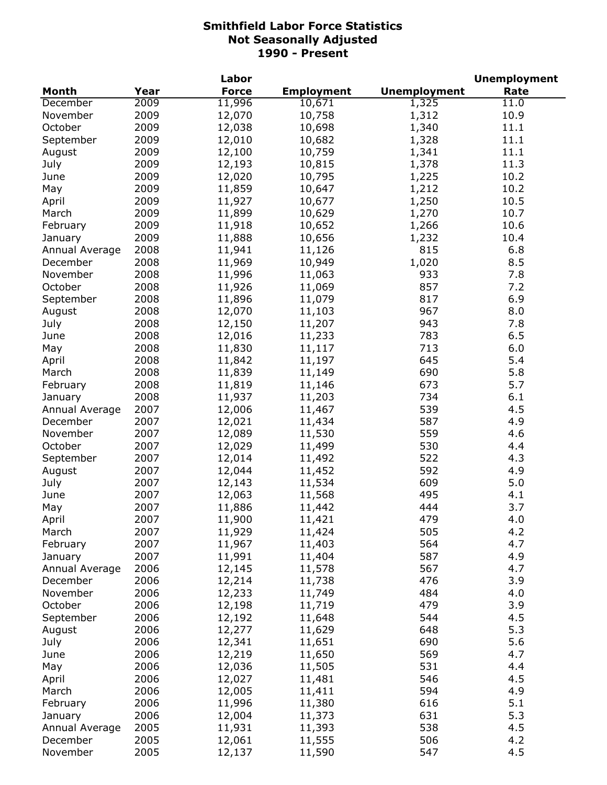|                            |              | Labor            |                   |                     | <b>Unemployment</b> |
|----------------------------|--------------|------------------|-------------------|---------------------|---------------------|
| <b>Month</b>               | Year         | <b>Force</b>     | <b>Employment</b> | <b>Unemployment</b> | Rate                |
| December                   | 2009         | 11,996           | 10,671            | 1,325               | 11.0                |
| November                   | 2009         | 12,070           | 10,758            | 1,312               | 10.9                |
| October                    | 2009         | 12,038           | 10,698            | 1,340               | 11.1                |
| September                  | 2009         | 12,010           | 10,682            | 1,328               | 11.1                |
| August                     | 2009         | 12,100           | 10,759            | 1,341               | 11.1                |
| July                       | 2009         | 12,193           | 10,815            | 1,378               | 11.3                |
| June                       | 2009         | 12,020           | 10,795            | 1,225               | 10.2                |
| May                        | 2009         | 11,859           | 10,647            | 1,212               | 10.2                |
| April                      | 2009         | 11,927           | 10,677            | 1,250               | 10.5                |
| March                      | 2009         | 11,899           | 10,629            | 1,270               | 10.7                |
| February                   | 2009         | 11,918           | 10,652            | 1,266               | 10.6                |
| January                    | 2009         | 11,888           | 10,656            | 1,232               | 10.4                |
| Annual Average             | 2008         | 11,941           | 11,126            | 815                 | 6.8                 |
| December                   | 2008         | 11,969           | 10,949            | 1,020               | 8.5                 |
| November                   | 2008         | 11,996           | 11,063            | 933                 | 7.8                 |
| October                    | 2008         | 11,926           | 11,069            | 857                 | 7.2                 |
| September                  | 2008         | 11,896           | 11,079            | 817                 | 6.9                 |
| August                     | 2008         | 12,070           | 11,103            | 967                 | 8.0                 |
| July                       | 2008         | 12,150           | 11,207            | 943                 | 7.8                 |
| June                       | 2008         | 12,016           | 11,233            | 783                 | 6.5                 |
| May                        | 2008         | 11,830           | 11,117            | 713                 | 6.0                 |
|                            | 2008         |                  |                   | 645                 | 5.4                 |
| April                      | 2008         | 11,842           | 11,197            | 690                 | 5.8                 |
| March                      |              | 11,839           | 11,149            | 673                 | 5.7                 |
| February                   | 2008         | 11,819           | 11,146            |                     |                     |
| January                    | 2008         | 11,937           | 11,203            | 734                 | 6.1                 |
| Annual Average             | 2007         | 12,006           | 11,467            | 539                 | 4.5                 |
| December                   | 2007         | 12,021           | 11,434            | 587                 | 4.9                 |
| November                   | 2007         | 12,089           | 11,530            | 559                 | 4.6                 |
| October                    | 2007         | 12,029           | 11,499            | 530                 | 4.4                 |
| September                  | 2007         | 12,014           | 11,492            | 522                 | 4.3                 |
| August                     | 2007         | 12,044           | 11,452            | 592<br>609          | 4.9<br>5.0          |
| July                       | 2007         | 12,143           | 11,534            |                     |                     |
| June                       | 2007         | 12,063           | 11,568            | 495<br>444          | 4.1                 |
| May                        | 2007<br>2007 | 11,886           | 11,442            | 479                 | 3.7<br>4.0          |
| April                      |              | 11,900           | 11,421            |                     |                     |
| March                      | 2007         | 11,929           | 11,424            | 505                 | 4.2<br>4.7          |
| February                   | 2007<br>2007 | 11,967           | 11,403            | 564<br>587          | 4.9                 |
| January                    |              | 11,991           | 11,404            | 567                 | 4.7                 |
| Annual Average<br>December | 2006<br>2006 | 12,145<br>12,214 | 11,578<br>11,738  | 476                 | 3.9                 |
|                            | 2006         |                  |                   | 484                 | 4.0                 |
| November                   | 2006         | 12,233           | 11,749            | 479                 | 3.9                 |
| October                    | 2006         | 12,198           | 11,719            | 544                 | 4.5                 |
| September                  | 2006         | 12,192           | 11,648            | 648                 | 5.3                 |
| August                     |              | 12,277           | 11,629            |                     |                     |
| July                       | 2006         | 12,341           | 11,651            | 690                 | 5.6                 |
| June                       | 2006         | 12,219           | 11,650            | 569                 | 4.7                 |
| May                        | 2006         | 12,036           | 11,505            | 531                 | 4.4                 |
| April                      | 2006         | 12,027           | 11,481            | 546                 | 4.5                 |
| March                      | 2006         | 12,005           | 11,411            | 594                 | 4.9                 |
| February                   | 2006         | 11,996           | 11,380            | 616                 | 5.1                 |
| January                    | 2006         | 12,004           | 11,373            | 631                 | 5.3                 |
| Annual Average             | 2005         | 11,931           | 11,393            | 538                 | 4.5                 |
| December                   | 2005         | 12,061           | 11,555            | 506                 | 4.2                 |
| November                   | 2005         | 12,137           | 11,590            | 547                 | 4.5                 |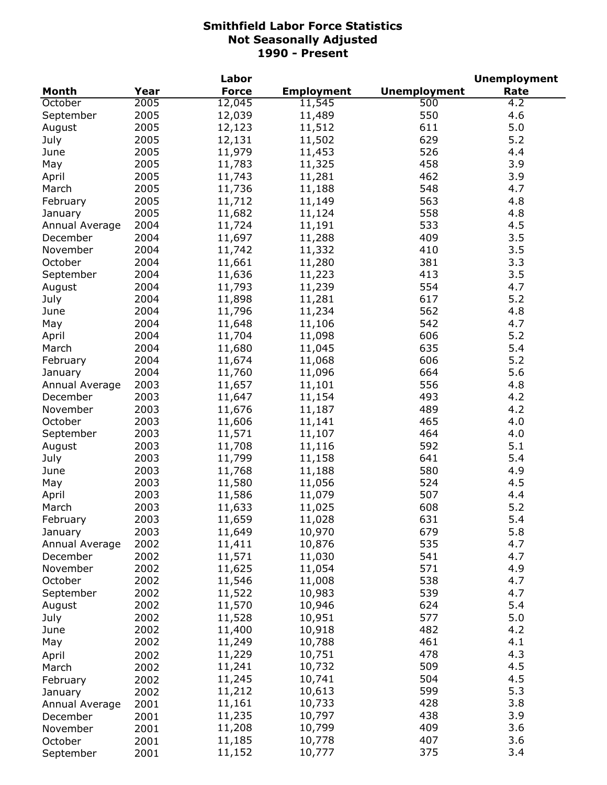| <b>Unemployment</b><br><b>Month</b><br>Year<br><b>Force</b><br><b>Employment</b><br>Rate<br>2005<br>12,045<br>500<br>11,545<br>4.2<br>October<br>4.6<br>2005<br>12,039<br>550<br>11,489<br>September<br>2005<br>611<br>5.0<br>12,123<br>11,512<br>August<br>2005<br>629<br>5.2<br>12,131<br>11,502<br>July<br>2005<br>11,979<br>526<br>4.4<br>11,453<br>June<br>2005<br>458<br>3.9<br>May<br>11,783<br>11,325<br>2005<br>462<br>3.9<br>11,743<br>11,281<br>April<br>2005<br>548<br>4.7<br>11,736<br>11,188<br>March<br>2005<br>563<br>4.8<br>11,712<br>11,149<br>February<br>2005<br>11,682<br>558<br>4.8<br>11,124<br>January<br>2004<br>11,724<br>11,191<br>533<br>4.5<br>Annual Average<br>3.5<br>2004<br>11,697<br>409<br>11,288<br>December<br>3.5<br>2004<br>11,742<br>11,332<br>410<br>November<br>3.3<br>2004<br>11,661<br>11,280<br>381<br>October<br>2004<br>413<br>3.5<br>September<br>11,636<br>11,223<br>2004<br>11,793<br>554<br>4.7<br>11,239<br>August<br>5.2<br>2004<br>11,898<br>617<br>July<br>11,281<br>562<br>4.8<br>2004<br>11,796<br>11,234<br>June<br>2004<br>11,648<br>542<br>4.7<br>11,106<br>May<br>606<br>5.2<br>2004<br>11,704<br>11,098<br>April<br>2004<br>11,680<br>635<br>5.4<br>11,045<br>March<br>2004<br>606<br>5.2<br>11,674<br>11,068<br>February<br>5.6<br>2004<br>664<br>11,760<br>11,096<br>January<br>2003<br>556<br>4.8<br>11,657<br>11,101<br>Annual Average<br>2003<br>493<br>4.2<br>December<br>11,647<br>11,154<br>2003<br>489<br>4.2<br>November<br>11,676<br>11,187<br>2003<br>11,606<br>465<br>4.0<br>October<br>11,141<br>2003<br>11,571<br>11,107<br>464<br>4.0<br>September<br>2003<br>11,708<br>592<br>5.1<br>11,116<br>August<br>2003<br>11,799<br>641<br>5.4<br>July<br>11,158<br>2003<br>11,768<br>580<br>4.9<br>11,188<br>June<br>2003<br>11,580<br>524<br>4.5<br>11,056<br>May<br>2003<br>507<br>4.4<br>April<br>11,586<br>11,079<br>2003<br>608<br>5.2<br>11,633<br>11,025<br>March<br>5.4<br>2003<br>February<br>631<br>11,028<br>11,659<br>5.8<br>2003<br>679<br>11,649<br>10,970<br>January<br>535<br>2002<br>4.7<br>11,411<br>10,876<br>Annual Average<br>4.7<br>2002<br>11,571<br>11,030<br>541<br>December<br>2002<br>4.9<br>November<br>11,625<br>11,054<br>571<br>2002<br>538<br>4.7<br>October<br>11,546<br>11,008<br>2002<br>539<br>4.7<br>11,522<br>10,983<br>September<br>2002<br>5.4<br>11,570<br>10,946<br>624<br>August<br>2002<br>577<br>5.0<br>July<br>11,528<br>10,951<br>2002<br>11,400<br>482<br>4.2<br>10,918<br>June<br>4.1<br>2002<br>11,249<br>461<br>10,788<br>May<br>4.3<br>11,229<br>478<br>10,751<br>2002<br>April<br>4.5<br>11,241<br>509<br>10,732<br>2002<br>March<br>11,245<br>504<br>4.5<br>10,741<br>2002<br>February<br>5.3<br>11,212<br>599<br>10,613<br>2002<br>January<br>428<br>3.8<br>11,161<br>10,733<br>2001<br>Annual Average<br>438<br>3.9<br>11,235<br>10,797<br>2001<br>December<br>11,208<br>409<br>3.6<br>10,799<br>2001<br>November<br>407<br>3.6<br>11,185<br>10,778<br>2001<br>October<br>375<br>11,152<br>10,777<br>3.4<br>2001<br>September |  | Labor |  | <b>Unemployment</b> |
|--------------------------------------------------------------------------------------------------------------------------------------------------------------------------------------------------------------------------------------------------------------------------------------------------------------------------------------------------------------------------------------------------------------------------------------------------------------------------------------------------------------------------------------------------------------------------------------------------------------------------------------------------------------------------------------------------------------------------------------------------------------------------------------------------------------------------------------------------------------------------------------------------------------------------------------------------------------------------------------------------------------------------------------------------------------------------------------------------------------------------------------------------------------------------------------------------------------------------------------------------------------------------------------------------------------------------------------------------------------------------------------------------------------------------------------------------------------------------------------------------------------------------------------------------------------------------------------------------------------------------------------------------------------------------------------------------------------------------------------------------------------------------------------------------------------------------------------------------------------------------------------------------------------------------------------------------------------------------------------------------------------------------------------------------------------------------------------------------------------------------------------------------------------------------------------------------------------------------------------------------------------------------------------------------------------------------------------------------------------------------------------------------------------------------------------------------------------------------------------------------------------------------------------------------------------------------------------------------------------------------------------------------------------------------------------------------------------------------------------------------------------------------------------------------------------------------------------------------------------------------------------------------------------------------------------------------------------------------------------------------------------------------------------------------------------|--|-------|--|---------------------|
|                                                                                                                                                                                                                                                                                                                                                                                                                                                                                                                                                                                                                                                                                                                                                                                                                                                                                                                                                                                                                                                                                                                                                                                                                                                                                                                                                                                                                                                                                                                                                                                                                                                                                                                                                                                                                                                                                                                                                                                                                                                                                                                                                                                                                                                                                                                                                                                                                                                                                                                                                                                                                                                                                                                                                                                                                                                                                                                                                                                                                                                              |  |       |  |                     |
|                                                                                                                                                                                                                                                                                                                                                                                                                                                                                                                                                                                                                                                                                                                                                                                                                                                                                                                                                                                                                                                                                                                                                                                                                                                                                                                                                                                                                                                                                                                                                                                                                                                                                                                                                                                                                                                                                                                                                                                                                                                                                                                                                                                                                                                                                                                                                                                                                                                                                                                                                                                                                                                                                                                                                                                                                                                                                                                                                                                                                                                              |  |       |  |                     |
|                                                                                                                                                                                                                                                                                                                                                                                                                                                                                                                                                                                                                                                                                                                                                                                                                                                                                                                                                                                                                                                                                                                                                                                                                                                                                                                                                                                                                                                                                                                                                                                                                                                                                                                                                                                                                                                                                                                                                                                                                                                                                                                                                                                                                                                                                                                                                                                                                                                                                                                                                                                                                                                                                                                                                                                                                                                                                                                                                                                                                                                              |  |       |  |                     |
|                                                                                                                                                                                                                                                                                                                                                                                                                                                                                                                                                                                                                                                                                                                                                                                                                                                                                                                                                                                                                                                                                                                                                                                                                                                                                                                                                                                                                                                                                                                                                                                                                                                                                                                                                                                                                                                                                                                                                                                                                                                                                                                                                                                                                                                                                                                                                                                                                                                                                                                                                                                                                                                                                                                                                                                                                                                                                                                                                                                                                                                              |  |       |  |                     |
|                                                                                                                                                                                                                                                                                                                                                                                                                                                                                                                                                                                                                                                                                                                                                                                                                                                                                                                                                                                                                                                                                                                                                                                                                                                                                                                                                                                                                                                                                                                                                                                                                                                                                                                                                                                                                                                                                                                                                                                                                                                                                                                                                                                                                                                                                                                                                                                                                                                                                                                                                                                                                                                                                                                                                                                                                                                                                                                                                                                                                                                              |  |       |  |                     |
|                                                                                                                                                                                                                                                                                                                                                                                                                                                                                                                                                                                                                                                                                                                                                                                                                                                                                                                                                                                                                                                                                                                                                                                                                                                                                                                                                                                                                                                                                                                                                                                                                                                                                                                                                                                                                                                                                                                                                                                                                                                                                                                                                                                                                                                                                                                                                                                                                                                                                                                                                                                                                                                                                                                                                                                                                                                                                                                                                                                                                                                              |  |       |  |                     |
|                                                                                                                                                                                                                                                                                                                                                                                                                                                                                                                                                                                                                                                                                                                                                                                                                                                                                                                                                                                                                                                                                                                                                                                                                                                                                                                                                                                                                                                                                                                                                                                                                                                                                                                                                                                                                                                                                                                                                                                                                                                                                                                                                                                                                                                                                                                                                                                                                                                                                                                                                                                                                                                                                                                                                                                                                                                                                                                                                                                                                                                              |  |       |  |                     |
|                                                                                                                                                                                                                                                                                                                                                                                                                                                                                                                                                                                                                                                                                                                                                                                                                                                                                                                                                                                                                                                                                                                                                                                                                                                                                                                                                                                                                                                                                                                                                                                                                                                                                                                                                                                                                                                                                                                                                                                                                                                                                                                                                                                                                                                                                                                                                                                                                                                                                                                                                                                                                                                                                                                                                                                                                                                                                                                                                                                                                                                              |  |       |  |                     |
|                                                                                                                                                                                                                                                                                                                                                                                                                                                                                                                                                                                                                                                                                                                                                                                                                                                                                                                                                                                                                                                                                                                                                                                                                                                                                                                                                                                                                                                                                                                                                                                                                                                                                                                                                                                                                                                                                                                                                                                                                                                                                                                                                                                                                                                                                                                                                                                                                                                                                                                                                                                                                                                                                                                                                                                                                                                                                                                                                                                                                                                              |  |       |  |                     |
|                                                                                                                                                                                                                                                                                                                                                                                                                                                                                                                                                                                                                                                                                                                                                                                                                                                                                                                                                                                                                                                                                                                                                                                                                                                                                                                                                                                                                                                                                                                                                                                                                                                                                                                                                                                                                                                                                                                                                                                                                                                                                                                                                                                                                                                                                                                                                                                                                                                                                                                                                                                                                                                                                                                                                                                                                                                                                                                                                                                                                                                              |  |       |  |                     |
|                                                                                                                                                                                                                                                                                                                                                                                                                                                                                                                                                                                                                                                                                                                                                                                                                                                                                                                                                                                                                                                                                                                                                                                                                                                                                                                                                                                                                                                                                                                                                                                                                                                                                                                                                                                                                                                                                                                                                                                                                                                                                                                                                                                                                                                                                                                                                                                                                                                                                                                                                                                                                                                                                                                                                                                                                                                                                                                                                                                                                                                              |  |       |  |                     |
|                                                                                                                                                                                                                                                                                                                                                                                                                                                                                                                                                                                                                                                                                                                                                                                                                                                                                                                                                                                                                                                                                                                                                                                                                                                                                                                                                                                                                                                                                                                                                                                                                                                                                                                                                                                                                                                                                                                                                                                                                                                                                                                                                                                                                                                                                                                                                                                                                                                                                                                                                                                                                                                                                                                                                                                                                                                                                                                                                                                                                                                              |  |       |  |                     |
|                                                                                                                                                                                                                                                                                                                                                                                                                                                                                                                                                                                                                                                                                                                                                                                                                                                                                                                                                                                                                                                                                                                                                                                                                                                                                                                                                                                                                                                                                                                                                                                                                                                                                                                                                                                                                                                                                                                                                                                                                                                                                                                                                                                                                                                                                                                                                                                                                                                                                                                                                                                                                                                                                                                                                                                                                                                                                                                                                                                                                                                              |  |       |  |                     |
|                                                                                                                                                                                                                                                                                                                                                                                                                                                                                                                                                                                                                                                                                                                                                                                                                                                                                                                                                                                                                                                                                                                                                                                                                                                                                                                                                                                                                                                                                                                                                                                                                                                                                                                                                                                                                                                                                                                                                                                                                                                                                                                                                                                                                                                                                                                                                                                                                                                                                                                                                                                                                                                                                                                                                                                                                                                                                                                                                                                                                                                              |  |       |  |                     |
|                                                                                                                                                                                                                                                                                                                                                                                                                                                                                                                                                                                                                                                                                                                                                                                                                                                                                                                                                                                                                                                                                                                                                                                                                                                                                                                                                                                                                                                                                                                                                                                                                                                                                                                                                                                                                                                                                                                                                                                                                                                                                                                                                                                                                                                                                                                                                                                                                                                                                                                                                                                                                                                                                                                                                                                                                                                                                                                                                                                                                                                              |  |       |  |                     |
|                                                                                                                                                                                                                                                                                                                                                                                                                                                                                                                                                                                                                                                                                                                                                                                                                                                                                                                                                                                                                                                                                                                                                                                                                                                                                                                                                                                                                                                                                                                                                                                                                                                                                                                                                                                                                                                                                                                                                                                                                                                                                                                                                                                                                                                                                                                                                                                                                                                                                                                                                                                                                                                                                                                                                                                                                                                                                                                                                                                                                                                              |  |       |  |                     |
|                                                                                                                                                                                                                                                                                                                                                                                                                                                                                                                                                                                                                                                                                                                                                                                                                                                                                                                                                                                                                                                                                                                                                                                                                                                                                                                                                                                                                                                                                                                                                                                                                                                                                                                                                                                                                                                                                                                                                                                                                                                                                                                                                                                                                                                                                                                                                                                                                                                                                                                                                                                                                                                                                                                                                                                                                                                                                                                                                                                                                                                              |  |       |  |                     |
|                                                                                                                                                                                                                                                                                                                                                                                                                                                                                                                                                                                                                                                                                                                                                                                                                                                                                                                                                                                                                                                                                                                                                                                                                                                                                                                                                                                                                                                                                                                                                                                                                                                                                                                                                                                                                                                                                                                                                                                                                                                                                                                                                                                                                                                                                                                                                                                                                                                                                                                                                                                                                                                                                                                                                                                                                                                                                                                                                                                                                                                              |  |       |  |                     |
|                                                                                                                                                                                                                                                                                                                                                                                                                                                                                                                                                                                                                                                                                                                                                                                                                                                                                                                                                                                                                                                                                                                                                                                                                                                                                                                                                                                                                                                                                                                                                                                                                                                                                                                                                                                                                                                                                                                                                                                                                                                                                                                                                                                                                                                                                                                                                                                                                                                                                                                                                                                                                                                                                                                                                                                                                                                                                                                                                                                                                                                              |  |       |  |                     |
|                                                                                                                                                                                                                                                                                                                                                                                                                                                                                                                                                                                                                                                                                                                                                                                                                                                                                                                                                                                                                                                                                                                                                                                                                                                                                                                                                                                                                                                                                                                                                                                                                                                                                                                                                                                                                                                                                                                                                                                                                                                                                                                                                                                                                                                                                                                                                                                                                                                                                                                                                                                                                                                                                                                                                                                                                                                                                                                                                                                                                                                              |  |       |  |                     |
|                                                                                                                                                                                                                                                                                                                                                                                                                                                                                                                                                                                                                                                                                                                                                                                                                                                                                                                                                                                                                                                                                                                                                                                                                                                                                                                                                                                                                                                                                                                                                                                                                                                                                                                                                                                                                                                                                                                                                                                                                                                                                                                                                                                                                                                                                                                                                                                                                                                                                                                                                                                                                                                                                                                                                                                                                                                                                                                                                                                                                                                              |  |       |  |                     |
|                                                                                                                                                                                                                                                                                                                                                                                                                                                                                                                                                                                                                                                                                                                                                                                                                                                                                                                                                                                                                                                                                                                                                                                                                                                                                                                                                                                                                                                                                                                                                                                                                                                                                                                                                                                                                                                                                                                                                                                                                                                                                                                                                                                                                                                                                                                                                                                                                                                                                                                                                                                                                                                                                                                                                                                                                                                                                                                                                                                                                                                              |  |       |  |                     |
|                                                                                                                                                                                                                                                                                                                                                                                                                                                                                                                                                                                                                                                                                                                                                                                                                                                                                                                                                                                                                                                                                                                                                                                                                                                                                                                                                                                                                                                                                                                                                                                                                                                                                                                                                                                                                                                                                                                                                                                                                                                                                                                                                                                                                                                                                                                                                                                                                                                                                                                                                                                                                                                                                                                                                                                                                                                                                                                                                                                                                                                              |  |       |  |                     |
|                                                                                                                                                                                                                                                                                                                                                                                                                                                                                                                                                                                                                                                                                                                                                                                                                                                                                                                                                                                                                                                                                                                                                                                                                                                                                                                                                                                                                                                                                                                                                                                                                                                                                                                                                                                                                                                                                                                                                                                                                                                                                                                                                                                                                                                                                                                                                                                                                                                                                                                                                                                                                                                                                                                                                                                                                                                                                                                                                                                                                                                              |  |       |  |                     |
|                                                                                                                                                                                                                                                                                                                                                                                                                                                                                                                                                                                                                                                                                                                                                                                                                                                                                                                                                                                                                                                                                                                                                                                                                                                                                                                                                                                                                                                                                                                                                                                                                                                                                                                                                                                                                                                                                                                                                                                                                                                                                                                                                                                                                                                                                                                                                                                                                                                                                                                                                                                                                                                                                                                                                                                                                                                                                                                                                                                                                                                              |  |       |  |                     |
|                                                                                                                                                                                                                                                                                                                                                                                                                                                                                                                                                                                                                                                                                                                                                                                                                                                                                                                                                                                                                                                                                                                                                                                                                                                                                                                                                                                                                                                                                                                                                                                                                                                                                                                                                                                                                                                                                                                                                                                                                                                                                                                                                                                                                                                                                                                                                                                                                                                                                                                                                                                                                                                                                                                                                                                                                                                                                                                                                                                                                                                              |  |       |  |                     |
|                                                                                                                                                                                                                                                                                                                                                                                                                                                                                                                                                                                                                                                                                                                                                                                                                                                                                                                                                                                                                                                                                                                                                                                                                                                                                                                                                                                                                                                                                                                                                                                                                                                                                                                                                                                                                                                                                                                                                                                                                                                                                                                                                                                                                                                                                                                                                                                                                                                                                                                                                                                                                                                                                                                                                                                                                                                                                                                                                                                                                                                              |  |       |  |                     |
|                                                                                                                                                                                                                                                                                                                                                                                                                                                                                                                                                                                                                                                                                                                                                                                                                                                                                                                                                                                                                                                                                                                                                                                                                                                                                                                                                                                                                                                                                                                                                                                                                                                                                                                                                                                                                                                                                                                                                                                                                                                                                                                                                                                                                                                                                                                                                                                                                                                                                                                                                                                                                                                                                                                                                                                                                                                                                                                                                                                                                                                              |  |       |  |                     |
|                                                                                                                                                                                                                                                                                                                                                                                                                                                                                                                                                                                                                                                                                                                                                                                                                                                                                                                                                                                                                                                                                                                                                                                                                                                                                                                                                                                                                                                                                                                                                                                                                                                                                                                                                                                                                                                                                                                                                                                                                                                                                                                                                                                                                                                                                                                                                                                                                                                                                                                                                                                                                                                                                                                                                                                                                                                                                                                                                                                                                                                              |  |       |  |                     |
|                                                                                                                                                                                                                                                                                                                                                                                                                                                                                                                                                                                                                                                                                                                                                                                                                                                                                                                                                                                                                                                                                                                                                                                                                                                                                                                                                                                                                                                                                                                                                                                                                                                                                                                                                                                                                                                                                                                                                                                                                                                                                                                                                                                                                                                                                                                                                                                                                                                                                                                                                                                                                                                                                                                                                                                                                                                                                                                                                                                                                                                              |  |       |  |                     |
|                                                                                                                                                                                                                                                                                                                                                                                                                                                                                                                                                                                                                                                                                                                                                                                                                                                                                                                                                                                                                                                                                                                                                                                                                                                                                                                                                                                                                                                                                                                                                                                                                                                                                                                                                                                                                                                                                                                                                                                                                                                                                                                                                                                                                                                                                                                                                                                                                                                                                                                                                                                                                                                                                                                                                                                                                                                                                                                                                                                                                                                              |  |       |  |                     |
|                                                                                                                                                                                                                                                                                                                                                                                                                                                                                                                                                                                                                                                                                                                                                                                                                                                                                                                                                                                                                                                                                                                                                                                                                                                                                                                                                                                                                                                                                                                                                                                                                                                                                                                                                                                                                                                                                                                                                                                                                                                                                                                                                                                                                                                                                                                                                                                                                                                                                                                                                                                                                                                                                                                                                                                                                                                                                                                                                                                                                                                              |  |       |  |                     |
|                                                                                                                                                                                                                                                                                                                                                                                                                                                                                                                                                                                                                                                                                                                                                                                                                                                                                                                                                                                                                                                                                                                                                                                                                                                                                                                                                                                                                                                                                                                                                                                                                                                                                                                                                                                                                                                                                                                                                                                                                                                                                                                                                                                                                                                                                                                                                                                                                                                                                                                                                                                                                                                                                                                                                                                                                                                                                                                                                                                                                                                              |  |       |  |                     |
|                                                                                                                                                                                                                                                                                                                                                                                                                                                                                                                                                                                                                                                                                                                                                                                                                                                                                                                                                                                                                                                                                                                                                                                                                                                                                                                                                                                                                                                                                                                                                                                                                                                                                                                                                                                                                                                                                                                                                                                                                                                                                                                                                                                                                                                                                                                                                                                                                                                                                                                                                                                                                                                                                                                                                                                                                                                                                                                                                                                                                                                              |  |       |  |                     |
|                                                                                                                                                                                                                                                                                                                                                                                                                                                                                                                                                                                                                                                                                                                                                                                                                                                                                                                                                                                                                                                                                                                                                                                                                                                                                                                                                                                                                                                                                                                                                                                                                                                                                                                                                                                                                                                                                                                                                                                                                                                                                                                                                                                                                                                                                                                                                                                                                                                                                                                                                                                                                                                                                                                                                                                                                                                                                                                                                                                                                                                              |  |       |  |                     |
|                                                                                                                                                                                                                                                                                                                                                                                                                                                                                                                                                                                                                                                                                                                                                                                                                                                                                                                                                                                                                                                                                                                                                                                                                                                                                                                                                                                                                                                                                                                                                                                                                                                                                                                                                                                                                                                                                                                                                                                                                                                                                                                                                                                                                                                                                                                                                                                                                                                                                                                                                                                                                                                                                                                                                                                                                                                                                                                                                                                                                                                              |  |       |  |                     |
|                                                                                                                                                                                                                                                                                                                                                                                                                                                                                                                                                                                                                                                                                                                                                                                                                                                                                                                                                                                                                                                                                                                                                                                                                                                                                                                                                                                                                                                                                                                                                                                                                                                                                                                                                                                                                                                                                                                                                                                                                                                                                                                                                                                                                                                                                                                                                                                                                                                                                                                                                                                                                                                                                                                                                                                                                                                                                                                                                                                                                                                              |  |       |  |                     |
|                                                                                                                                                                                                                                                                                                                                                                                                                                                                                                                                                                                                                                                                                                                                                                                                                                                                                                                                                                                                                                                                                                                                                                                                                                                                                                                                                                                                                                                                                                                                                                                                                                                                                                                                                                                                                                                                                                                                                                                                                                                                                                                                                                                                                                                                                                                                                                                                                                                                                                                                                                                                                                                                                                                                                                                                                                                                                                                                                                                                                                                              |  |       |  |                     |
|                                                                                                                                                                                                                                                                                                                                                                                                                                                                                                                                                                                                                                                                                                                                                                                                                                                                                                                                                                                                                                                                                                                                                                                                                                                                                                                                                                                                                                                                                                                                                                                                                                                                                                                                                                                                                                                                                                                                                                                                                                                                                                                                                                                                                                                                                                                                                                                                                                                                                                                                                                                                                                                                                                                                                                                                                                                                                                                                                                                                                                                              |  |       |  |                     |
|                                                                                                                                                                                                                                                                                                                                                                                                                                                                                                                                                                                                                                                                                                                                                                                                                                                                                                                                                                                                                                                                                                                                                                                                                                                                                                                                                                                                                                                                                                                                                                                                                                                                                                                                                                                                                                                                                                                                                                                                                                                                                                                                                                                                                                                                                                                                                                                                                                                                                                                                                                                                                                                                                                                                                                                                                                                                                                                                                                                                                                                              |  |       |  |                     |
|                                                                                                                                                                                                                                                                                                                                                                                                                                                                                                                                                                                                                                                                                                                                                                                                                                                                                                                                                                                                                                                                                                                                                                                                                                                                                                                                                                                                                                                                                                                                                                                                                                                                                                                                                                                                                                                                                                                                                                                                                                                                                                                                                                                                                                                                                                                                                                                                                                                                                                                                                                                                                                                                                                                                                                                                                                                                                                                                                                                                                                                              |  |       |  |                     |
|                                                                                                                                                                                                                                                                                                                                                                                                                                                                                                                                                                                                                                                                                                                                                                                                                                                                                                                                                                                                                                                                                                                                                                                                                                                                                                                                                                                                                                                                                                                                                                                                                                                                                                                                                                                                                                                                                                                                                                                                                                                                                                                                                                                                                                                                                                                                                                                                                                                                                                                                                                                                                                                                                                                                                                                                                                                                                                                                                                                                                                                              |  |       |  |                     |
|                                                                                                                                                                                                                                                                                                                                                                                                                                                                                                                                                                                                                                                                                                                                                                                                                                                                                                                                                                                                                                                                                                                                                                                                                                                                                                                                                                                                                                                                                                                                                                                                                                                                                                                                                                                                                                                                                                                                                                                                                                                                                                                                                                                                                                                                                                                                                                                                                                                                                                                                                                                                                                                                                                                                                                                                                                                                                                                                                                                                                                                              |  |       |  |                     |
|                                                                                                                                                                                                                                                                                                                                                                                                                                                                                                                                                                                                                                                                                                                                                                                                                                                                                                                                                                                                                                                                                                                                                                                                                                                                                                                                                                                                                                                                                                                                                                                                                                                                                                                                                                                                                                                                                                                                                                                                                                                                                                                                                                                                                                                                                                                                                                                                                                                                                                                                                                                                                                                                                                                                                                                                                                                                                                                                                                                                                                                              |  |       |  |                     |
|                                                                                                                                                                                                                                                                                                                                                                                                                                                                                                                                                                                                                                                                                                                                                                                                                                                                                                                                                                                                                                                                                                                                                                                                                                                                                                                                                                                                                                                                                                                                                                                                                                                                                                                                                                                                                                                                                                                                                                                                                                                                                                                                                                                                                                                                                                                                                                                                                                                                                                                                                                                                                                                                                                                                                                                                                                                                                                                                                                                                                                                              |  |       |  |                     |
|                                                                                                                                                                                                                                                                                                                                                                                                                                                                                                                                                                                                                                                                                                                                                                                                                                                                                                                                                                                                                                                                                                                                                                                                                                                                                                                                                                                                                                                                                                                                                                                                                                                                                                                                                                                                                                                                                                                                                                                                                                                                                                                                                                                                                                                                                                                                                                                                                                                                                                                                                                                                                                                                                                                                                                                                                                                                                                                                                                                                                                                              |  |       |  |                     |
|                                                                                                                                                                                                                                                                                                                                                                                                                                                                                                                                                                                                                                                                                                                                                                                                                                                                                                                                                                                                                                                                                                                                                                                                                                                                                                                                                                                                                                                                                                                                                                                                                                                                                                                                                                                                                                                                                                                                                                                                                                                                                                                                                                                                                                                                                                                                                                                                                                                                                                                                                                                                                                                                                                                                                                                                                                                                                                                                                                                                                                                              |  |       |  |                     |
|                                                                                                                                                                                                                                                                                                                                                                                                                                                                                                                                                                                                                                                                                                                                                                                                                                                                                                                                                                                                                                                                                                                                                                                                                                                                                                                                                                                                                                                                                                                                                                                                                                                                                                                                                                                                                                                                                                                                                                                                                                                                                                                                                                                                                                                                                                                                                                                                                                                                                                                                                                                                                                                                                                                                                                                                                                                                                                                                                                                                                                                              |  |       |  |                     |
|                                                                                                                                                                                                                                                                                                                                                                                                                                                                                                                                                                                                                                                                                                                                                                                                                                                                                                                                                                                                                                                                                                                                                                                                                                                                                                                                                                                                                                                                                                                                                                                                                                                                                                                                                                                                                                                                                                                                                                                                                                                                                                                                                                                                                                                                                                                                                                                                                                                                                                                                                                                                                                                                                                                                                                                                                                                                                                                                                                                                                                                              |  |       |  |                     |
|                                                                                                                                                                                                                                                                                                                                                                                                                                                                                                                                                                                                                                                                                                                                                                                                                                                                                                                                                                                                                                                                                                                                                                                                                                                                                                                                                                                                                                                                                                                                                                                                                                                                                                                                                                                                                                                                                                                                                                                                                                                                                                                                                                                                                                                                                                                                                                                                                                                                                                                                                                                                                                                                                                                                                                                                                                                                                                                                                                                                                                                              |  |       |  |                     |
|                                                                                                                                                                                                                                                                                                                                                                                                                                                                                                                                                                                                                                                                                                                                                                                                                                                                                                                                                                                                                                                                                                                                                                                                                                                                                                                                                                                                                                                                                                                                                                                                                                                                                                                                                                                                                                                                                                                                                                                                                                                                                                                                                                                                                                                                                                                                                                                                                                                                                                                                                                                                                                                                                                                                                                                                                                                                                                                                                                                                                                                              |  |       |  |                     |
|                                                                                                                                                                                                                                                                                                                                                                                                                                                                                                                                                                                                                                                                                                                                                                                                                                                                                                                                                                                                                                                                                                                                                                                                                                                                                                                                                                                                                                                                                                                                                                                                                                                                                                                                                                                                                                                                                                                                                                                                                                                                                                                                                                                                                                                                                                                                                                                                                                                                                                                                                                                                                                                                                                                                                                                                                                                                                                                                                                                                                                                              |  |       |  |                     |
|                                                                                                                                                                                                                                                                                                                                                                                                                                                                                                                                                                                                                                                                                                                                                                                                                                                                                                                                                                                                                                                                                                                                                                                                                                                                                                                                                                                                                                                                                                                                                                                                                                                                                                                                                                                                                                                                                                                                                                                                                                                                                                                                                                                                                                                                                                                                                                                                                                                                                                                                                                                                                                                                                                                                                                                                                                                                                                                                                                                                                                                              |  |       |  |                     |
|                                                                                                                                                                                                                                                                                                                                                                                                                                                                                                                                                                                                                                                                                                                                                                                                                                                                                                                                                                                                                                                                                                                                                                                                                                                                                                                                                                                                                                                                                                                                                                                                                                                                                                                                                                                                                                                                                                                                                                                                                                                                                                                                                                                                                                                                                                                                                                                                                                                                                                                                                                                                                                                                                                                                                                                                                                                                                                                                                                                                                                                              |  |       |  |                     |
|                                                                                                                                                                                                                                                                                                                                                                                                                                                                                                                                                                                                                                                                                                                                                                                                                                                                                                                                                                                                                                                                                                                                                                                                                                                                                                                                                                                                                                                                                                                                                                                                                                                                                                                                                                                                                                                                                                                                                                                                                                                                                                                                                                                                                                                                                                                                                                                                                                                                                                                                                                                                                                                                                                                                                                                                                                                                                                                                                                                                                                                              |  |       |  |                     |
|                                                                                                                                                                                                                                                                                                                                                                                                                                                                                                                                                                                                                                                                                                                                                                                                                                                                                                                                                                                                                                                                                                                                                                                                                                                                                                                                                                                                                                                                                                                                                                                                                                                                                                                                                                                                                                                                                                                                                                                                                                                                                                                                                                                                                                                                                                                                                                                                                                                                                                                                                                                                                                                                                                                                                                                                                                                                                                                                                                                                                                                              |  |       |  |                     |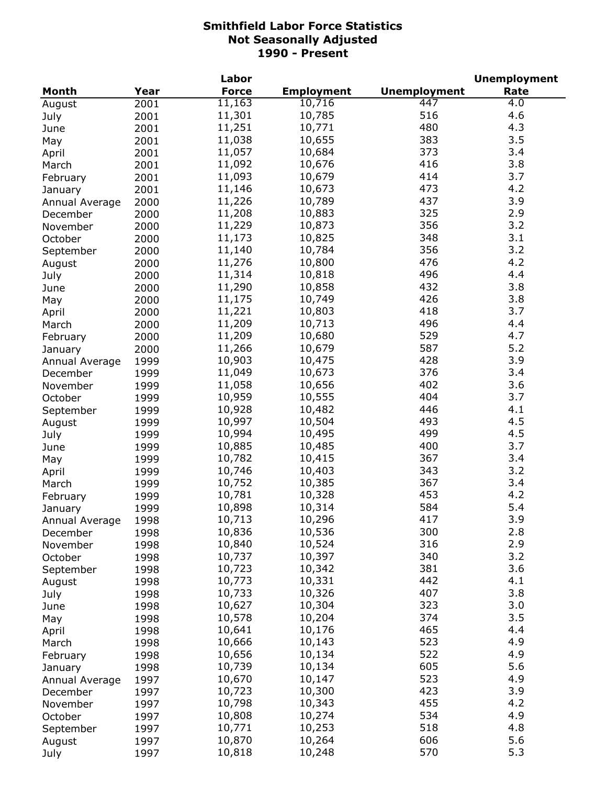|                            |      | Labor        |                   |                     | <b>Unemployment</b> |
|----------------------------|------|--------------|-------------------|---------------------|---------------------|
| <b>Month</b>               | Year | <b>Force</b> | <b>Employment</b> | <b>Unemployment</b> | Rate                |
| August                     | 2001 | 11,163       | 10,716            | 447                 | 4.0                 |
| July                       | 2001 | 11,301       | 10,785            | 516                 | 4.6                 |
| June                       | 2001 | 11,251       | 10,771            | 480                 | 4.3                 |
| May                        | 2001 | 11,038       | 10,655            | 383                 | 3.5                 |
| April                      | 2001 | 11,057       | 10,684            | 373                 | 3.4                 |
| March                      | 2001 | 11,092       | 10,676            | 416                 | 3.8                 |
| February                   | 2001 | 11,093       | 10,679            | 414                 | 3.7                 |
| January                    | 2001 | 11,146       | 10,673            | 473                 | 4.2                 |
| Annual Average             | 2000 | 11,226       | 10,789            | 437                 | 3.9                 |
| December                   | 2000 | 11,208       | 10,883            | 325                 | 2.9                 |
| November                   | 2000 | 11,229       | 10,873            | 356                 | 3.2                 |
| October                    | 2000 | 11,173       | 10,825            | 348                 | 3.1                 |
| September                  | 2000 | 11,140       | 10,784            | 356                 | 3.2                 |
| August                     | 2000 | 11,276       | 10,800            | 476                 | 4.2                 |
| July                       | 2000 | 11,314       | 10,818            | 496                 | 4.4                 |
| June                       | 2000 | 11,290       | 10,858            | 432                 | 3.8                 |
| May                        | 2000 | 11,175       | 10,749            | 426                 | 3.8                 |
| April                      | 2000 | 11,221       | 10,803            | 418                 | 3.7                 |
| March                      | 2000 | 11,209       | 10,713            | 496                 | 4.4                 |
| February                   | 2000 | 11,209       | 10,680            | 529                 | 4.7                 |
|                            | 2000 | 11,266       | 10,679            | 587                 | 5.2                 |
| January                    | 1999 | 10,903       | 10,475            | 428                 | 3.9                 |
| Annual Average<br>December | 1999 | 11,049       | 10,673            | 376                 | 3.4                 |
| November                   | 1999 | 11,058       | 10,656            | 402                 | 3.6                 |
| October                    | 1999 | 10,959       | 10,555            | 404                 | 3.7                 |
| September                  | 1999 | 10,928       | 10,482            | 446                 | 4.1                 |
| August                     | 1999 | 10,997       | 10,504            | 493                 | 4.5                 |
| July                       | 1999 | 10,994       | 10,495            | 499                 | 4.5                 |
| June                       | 1999 | 10,885       | 10,485            | 400                 | 3.7                 |
| May                        | 1999 | 10,782       | 10,415            | 367                 | 3.4                 |
| April                      | 1999 | 10,746       | 10,403            | 343                 | 3.2                 |
| March                      | 1999 | 10,752       | 10,385            | 367                 | 3.4                 |
| February                   | 1999 | 10,781       | 10,328            | 453                 | 4.2                 |
| January                    | 1999 | 10,898       | 10,314            | 584                 | 5.4                 |
| Annual Average             | 1998 | 10,713       | 10,296            | 417                 | 3.9                 |
| December                   | 1998 | 10,836       | 10,536            | 300                 | 2.8                 |
| November                   | 1998 | 10,840       | 10,524            | 316                 | 2.9                 |
| October                    | 1998 | 10,737       | 10,397            | 340                 | 3.2                 |
| September                  | 1998 | 10,723       | 10,342            | 381                 | 3.6                 |
| August                     | 1998 | 10,773       | 10,331            | 442                 | 4.1                 |
| July                       | 1998 | 10,733       | 10,326            | 407                 | 3.8                 |
| June                       | 1998 | 10,627       | 10,304            | 323                 | 3.0                 |
| May                        | 1998 | 10,578       | 10,204            | 374                 | 3.5                 |
| April                      | 1998 | 10,641       | 10,176            | 465                 | 4.4                 |
| March                      | 1998 | 10,666       | 10,143            | 523                 | 4.9                 |
| February                   | 1998 | 10,656       | 10,134            | 522                 | 4.9                 |
| January                    | 1998 | 10,739       | 10,134            | 605                 | 5.6                 |
| Annual Average             | 1997 | 10,670       | 10,147            | 523                 | 4.9                 |
| December                   | 1997 | 10,723       | 10,300            | 423                 | 3.9                 |
| November                   | 1997 | 10,798       | 10,343            | 455                 | 4.2                 |
| October                    | 1997 | 10,808       | 10,274            | 534                 | 4.9                 |
| September                  | 1997 | 10,771       | 10,253            | 518                 | 4.8                 |
| August                     | 1997 | 10,870       | 10,264            | 606                 | 5.6                 |
| July                       | 1997 | 10,818       | 10,248            | 570                 | 5.3                 |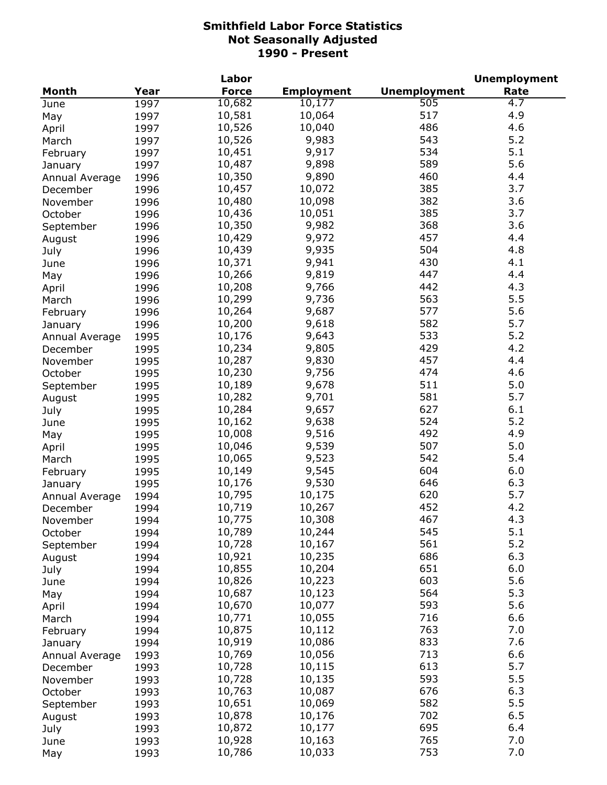| Year<br><b>Force</b><br><b>Employment</b><br><b>Unemployment</b><br>Rate<br>Month<br>10,682<br>505<br>10,177<br>4.7<br>1997<br>June<br>10,581<br>517<br>4.9<br>10,064<br>1997<br>May<br>486<br>4.6<br>10,526<br>10,040<br>1997<br>April<br>9,983<br>543<br>5.2<br>10,526<br>1997<br>March<br>534<br>5.1<br>10,451<br>9,917<br>1997<br>February<br>5.6<br>589<br>10,487<br>9,898<br>1997<br>January<br>460<br>4.4<br>10,350<br>9,890<br>1996<br>Annual Average<br>385<br>3.7<br>10,457<br>10,072<br>1996<br>December<br>382<br>3.6<br>10,480<br>10,098<br>1996<br>November<br>385<br>3.7<br>10,436<br>10,051<br>1996<br>October<br>368<br>3.6<br>10,350<br>9,982<br>1996<br>September<br>10,429<br>9,972<br>4.4<br>457<br>1996<br>August<br>9,935<br>10,439<br>504<br>4.8<br>1996<br>July<br>10,371<br>9,941<br>430<br>4.1<br>1996<br>June<br>10,266<br>9,819<br>447<br>4.4<br>1996<br>May<br>10,208<br>9,766<br>442<br>4.3<br>1996<br>April<br>10,299<br>9,736<br>563<br>5.5<br>1996<br>March<br>10,264<br>9,687<br>577<br>5.6<br>1996<br>February<br>10,200<br>9,618<br>582<br>5.7<br>1996<br>January<br>5.2<br>533<br>10,176<br>9,643<br>1995<br>Annual Average<br>10,234<br>9,805<br>429<br>4.2<br>1995<br>December<br>457<br>9,830<br>4.4<br>10,287<br>1995<br>November<br>474<br>4.6<br>10,230<br>9,756<br>1995<br>October<br>511<br>10,189<br>9,678<br>5.0<br>1995<br>September<br>581<br>5.7<br>10,282<br>9,701<br>1995<br>August<br>627<br>6.1<br>10,284<br>9,657<br>1995<br>July<br>9,638<br>524<br>5.2<br>10,162<br>1995<br>June<br>4.9<br>10,008<br>9,516<br>492<br>1995<br>May<br>5.0<br>10,046<br>9,539<br>507<br>1995<br>April<br>10,065<br>9,523<br>542<br>5.4<br>1995<br>March<br>9,545<br>604<br>6.0<br>10,149<br>1995<br>February<br>9,530<br>646<br>6.3<br>10,176<br>1995<br>January<br>10,795<br>620<br>5.7<br>10,175<br>1994<br>Annual Average<br>10,719<br>10,267<br>452<br>4.2<br>1994<br>December<br>10,775<br>10,308<br>467<br>4.3<br>November<br>1994<br>545<br>5.1<br>10,789<br>10,244<br>1994<br>October<br>5.2<br>561<br>10,728<br>10,167<br>1994<br>September<br>686<br>6.3<br>10,921<br>10,235<br>1994<br>August<br>651<br>6.0<br>10,855<br>10,204<br>1994<br>July<br>603<br>5.6<br>10,826<br>10,223<br>1994<br>June<br>564<br>5.3<br>10,687<br>10,123<br>1994<br>May<br>593<br>5.6<br>10,670<br>10,077<br>1994<br>April<br>716<br>6.6<br>10,771<br>10,055<br>1994<br>March<br>763<br>7.0<br>10,875<br>10,112<br>1994<br>February<br>10,919<br>833<br>7.6<br>10,086<br>1994<br>January<br>10,769<br>713<br>6.6<br>10,056<br>1993<br>Annual Average<br>5.7<br>613<br>10,728<br>10,115<br>1993<br>December<br>593<br>5.5<br>10,728<br>10,135<br>November<br>1993<br>10,763<br>676<br>6.3<br>10,087<br>1993<br>October<br>582<br>5.5<br>10,651<br>10,069<br>1993<br>September<br>702<br>6.5<br>10,878<br>10,176<br>1993<br>August<br>695<br>6.4<br>10,872<br>10,177<br>1993<br>July<br>765<br>7.0<br>10,928<br>10,163<br>1993<br>June<br>753<br>7.0<br>10,786<br>10,033<br>1993<br>May |  | Labor |  | <b>Unemployment</b> |
|--------------------------------------------------------------------------------------------------------------------------------------------------------------------------------------------------------------------------------------------------------------------------------------------------------------------------------------------------------------------------------------------------------------------------------------------------------------------------------------------------------------------------------------------------------------------------------------------------------------------------------------------------------------------------------------------------------------------------------------------------------------------------------------------------------------------------------------------------------------------------------------------------------------------------------------------------------------------------------------------------------------------------------------------------------------------------------------------------------------------------------------------------------------------------------------------------------------------------------------------------------------------------------------------------------------------------------------------------------------------------------------------------------------------------------------------------------------------------------------------------------------------------------------------------------------------------------------------------------------------------------------------------------------------------------------------------------------------------------------------------------------------------------------------------------------------------------------------------------------------------------------------------------------------------------------------------------------------------------------------------------------------------------------------------------------------------------------------------------------------------------------------------------------------------------------------------------------------------------------------------------------------------------------------------------------------------------------------------------------------------------------------------------------------------------------------------------------------------------------------------------------------------------------------------------------------------------------------------------------------------------------------------------------------------------------------------------------------------------------------------------------------------------------------------------------------------------------------------------------------------------------------------------------------------------------------------------------------------------------------------------------------|--|-------|--|---------------------|
|                                                                                                                                                                                                                                                                                                                                                                                                                                                                                                                                                                                                                                                                                                                                                                                                                                                                                                                                                                                                                                                                                                                                                                                                                                                                                                                                                                                                                                                                                                                                                                                                                                                                                                                                                                                                                                                                                                                                                                                                                                                                                                                                                                                                                                                                                                                                                                                                                                                                                                                                                                                                                                                                                                                                                                                                                                                                                                                                                                                                                    |  |       |  |                     |
|                                                                                                                                                                                                                                                                                                                                                                                                                                                                                                                                                                                                                                                                                                                                                                                                                                                                                                                                                                                                                                                                                                                                                                                                                                                                                                                                                                                                                                                                                                                                                                                                                                                                                                                                                                                                                                                                                                                                                                                                                                                                                                                                                                                                                                                                                                                                                                                                                                                                                                                                                                                                                                                                                                                                                                                                                                                                                                                                                                                                                    |  |       |  |                     |
|                                                                                                                                                                                                                                                                                                                                                                                                                                                                                                                                                                                                                                                                                                                                                                                                                                                                                                                                                                                                                                                                                                                                                                                                                                                                                                                                                                                                                                                                                                                                                                                                                                                                                                                                                                                                                                                                                                                                                                                                                                                                                                                                                                                                                                                                                                                                                                                                                                                                                                                                                                                                                                                                                                                                                                                                                                                                                                                                                                                                                    |  |       |  |                     |
|                                                                                                                                                                                                                                                                                                                                                                                                                                                                                                                                                                                                                                                                                                                                                                                                                                                                                                                                                                                                                                                                                                                                                                                                                                                                                                                                                                                                                                                                                                                                                                                                                                                                                                                                                                                                                                                                                                                                                                                                                                                                                                                                                                                                                                                                                                                                                                                                                                                                                                                                                                                                                                                                                                                                                                                                                                                                                                                                                                                                                    |  |       |  |                     |
|                                                                                                                                                                                                                                                                                                                                                                                                                                                                                                                                                                                                                                                                                                                                                                                                                                                                                                                                                                                                                                                                                                                                                                                                                                                                                                                                                                                                                                                                                                                                                                                                                                                                                                                                                                                                                                                                                                                                                                                                                                                                                                                                                                                                                                                                                                                                                                                                                                                                                                                                                                                                                                                                                                                                                                                                                                                                                                                                                                                                                    |  |       |  |                     |
|                                                                                                                                                                                                                                                                                                                                                                                                                                                                                                                                                                                                                                                                                                                                                                                                                                                                                                                                                                                                                                                                                                                                                                                                                                                                                                                                                                                                                                                                                                                                                                                                                                                                                                                                                                                                                                                                                                                                                                                                                                                                                                                                                                                                                                                                                                                                                                                                                                                                                                                                                                                                                                                                                                                                                                                                                                                                                                                                                                                                                    |  |       |  |                     |
|                                                                                                                                                                                                                                                                                                                                                                                                                                                                                                                                                                                                                                                                                                                                                                                                                                                                                                                                                                                                                                                                                                                                                                                                                                                                                                                                                                                                                                                                                                                                                                                                                                                                                                                                                                                                                                                                                                                                                                                                                                                                                                                                                                                                                                                                                                                                                                                                                                                                                                                                                                                                                                                                                                                                                                                                                                                                                                                                                                                                                    |  |       |  |                     |
|                                                                                                                                                                                                                                                                                                                                                                                                                                                                                                                                                                                                                                                                                                                                                                                                                                                                                                                                                                                                                                                                                                                                                                                                                                                                                                                                                                                                                                                                                                                                                                                                                                                                                                                                                                                                                                                                                                                                                                                                                                                                                                                                                                                                                                                                                                                                                                                                                                                                                                                                                                                                                                                                                                                                                                                                                                                                                                                                                                                                                    |  |       |  |                     |
|                                                                                                                                                                                                                                                                                                                                                                                                                                                                                                                                                                                                                                                                                                                                                                                                                                                                                                                                                                                                                                                                                                                                                                                                                                                                                                                                                                                                                                                                                                                                                                                                                                                                                                                                                                                                                                                                                                                                                                                                                                                                                                                                                                                                                                                                                                                                                                                                                                                                                                                                                                                                                                                                                                                                                                                                                                                                                                                                                                                                                    |  |       |  |                     |
|                                                                                                                                                                                                                                                                                                                                                                                                                                                                                                                                                                                                                                                                                                                                                                                                                                                                                                                                                                                                                                                                                                                                                                                                                                                                                                                                                                                                                                                                                                                                                                                                                                                                                                                                                                                                                                                                                                                                                                                                                                                                                                                                                                                                                                                                                                                                                                                                                                                                                                                                                                                                                                                                                                                                                                                                                                                                                                                                                                                                                    |  |       |  |                     |
|                                                                                                                                                                                                                                                                                                                                                                                                                                                                                                                                                                                                                                                                                                                                                                                                                                                                                                                                                                                                                                                                                                                                                                                                                                                                                                                                                                                                                                                                                                                                                                                                                                                                                                                                                                                                                                                                                                                                                                                                                                                                                                                                                                                                                                                                                                                                                                                                                                                                                                                                                                                                                                                                                                                                                                                                                                                                                                                                                                                                                    |  |       |  |                     |
|                                                                                                                                                                                                                                                                                                                                                                                                                                                                                                                                                                                                                                                                                                                                                                                                                                                                                                                                                                                                                                                                                                                                                                                                                                                                                                                                                                                                                                                                                                                                                                                                                                                                                                                                                                                                                                                                                                                                                                                                                                                                                                                                                                                                                                                                                                                                                                                                                                                                                                                                                                                                                                                                                                                                                                                                                                                                                                                                                                                                                    |  |       |  |                     |
|                                                                                                                                                                                                                                                                                                                                                                                                                                                                                                                                                                                                                                                                                                                                                                                                                                                                                                                                                                                                                                                                                                                                                                                                                                                                                                                                                                                                                                                                                                                                                                                                                                                                                                                                                                                                                                                                                                                                                                                                                                                                                                                                                                                                                                                                                                                                                                                                                                                                                                                                                                                                                                                                                                                                                                                                                                                                                                                                                                                                                    |  |       |  |                     |
|                                                                                                                                                                                                                                                                                                                                                                                                                                                                                                                                                                                                                                                                                                                                                                                                                                                                                                                                                                                                                                                                                                                                                                                                                                                                                                                                                                                                                                                                                                                                                                                                                                                                                                                                                                                                                                                                                                                                                                                                                                                                                                                                                                                                                                                                                                                                                                                                                                                                                                                                                                                                                                                                                                                                                                                                                                                                                                                                                                                                                    |  |       |  |                     |
|                                                                                                                                                                                                                                                                                                                                                                                                                                                                                                                                                                                                                                                                                                                                                                                                                                                                                                                                                                                                                                                                                                                                                                                                                                                                                                                                                                                                                                                                                                                                                                                                                                                                                                                                                                                                                                                                                                                                                                                                                                                                                                                                                                                                                                                                                                                                                                                                                                                                                                                                                                                                                                                                                                                                                                                                                                                                                                                                                                                                                    |  |       |  |                     |
|                                                                                                                                                                                                                                                                                                                                                                                                                                                                                                                                                                                                                                                                                                                                                                                                                                                                                                                                                                                                                                                                                                                                                                                                                                                                                                                                                                                                                                                                                                                                                                                                                                                                                                                                                                                                                                                                                                                                                                                                                                                                                                                                                                                                                                                                                                                                                                                                                                                                                                                                                                                                                                                                                                                                                                                                                                                                                                                                                                                                                    |  |       |  |                     |
|                                                                                                                                                                                                                                                                                                                                                                                                                                                                                                                                                                                                                                                                                                                                                                                                                                                                                                                                                                                                                                                                                                                                                                                                                                                                                                                                                                                                                                                                                                                                                                                                                                                                                                                                                                                                                                                                                                                                                                                                                                                                                                                                                                                                                                                                                                                                                                                                                                                                                                                                                                                                                                                                                                                                                                                                                                                                                                                                                                                                                    |  |       |  |                     |
|                                                                                                                                                                                                                                                                                                                                                                                                                                                                                                                                                                                                                                                                                                                                                                                                                                                                                                                                                                                                                                                                                                                                                                                                                                                                                                                                                                                                                                                                                                                                                                                                                                                                                                                                                                                                                                                                                                                                                                                                                                                                                                                                                                                                                                                                                                                                                                                                                                                                                                                                                                                                                                                                                                                                                                                                                                                                                                                                                                                                                    |  |       |  |                     |
|                                                                                                                                                                                                                                                                                                                                                                                                                                                                                                                                                                                                                                                                                                                                                                                                                                                                                                                                                                                                                                                                                                                                                                                                                                                                                                                                                                                                                                                                                                                                                                                                                                                                                                                                                                                                                                                                                                                                                                                                                                                                                                                                                                                                                                                                                                                                                                                                                                                                                                                                                                                                                                                                                                                                                                                                                                                                                                                                                                                                                    |  |       |  |                     |
|                                                                                                                                                                                                                                                                                                                                                                                                                                                                                                                                                                                                                                                                                                                                                                                                                                                                                                                                                                                                                                                                                                                                                                                                                                                                                                                                                                                                                                                                                                                                                                                                                                                                                                                                                                                                                                                                                                                                                                                                                                                                                                                                                                                                                                                                                                                                                                                                                                                                                                                                                                                                                                                                                                                                                                                                                                                                                                                                                                                                                    |  |       |  |                     |
|                                                                                                                                                                                                                                                                                                                                                                                                                                                                                                                                                                                                                                                                                                                                                                                                                                                                                                                                                                                                                                                                                                                                                                                                                                                                                                                                                                                                                                                                                                                                                                                                                                                                                                                                                                                                                                                                                                                                                                                                                                                                                                                                                                                                                                                                                                                                                                                                                                                                                                                                                                                                                                                                                                                                                                                                                                                                                                                                                                                                                    |  |       |  |                     |
|                                                                                                                                                                                                                                                                                                                                                                                                                                                                                                                                                                                                                                                                                                                                                                                                                                                                                                                                                                                                                                                                                                                                                                                                                                                                                                                                                                                                                                                                                                                                                                                                                                                                                                                                                                                                                                                                                                                                                                                                                                                                                                                                                                                                                                                                                                                                                                                                                                                                                                                                                                                                                                                                                                                                                                                                                                                                                                                                                                                                                    |  |       |  |                     |
|                                                                                                                                                                                                                                                                                                                                                                                                                                                                                                                                                                                                                                                                                                                                                                                                                                                                                                                                                                                                                                                                                                                                                                                                                                                                                                                                                                                                                                                                                                                                                                                                                                                                                                                                                                                                                                                                                                                                                                                                                                                                                                                                                                                                                                                                                                                                                                                                                                                                                                                                                                                                                                                                                                                                                                                                                                                                                                                                                                                                                    |  |       |  |                     |
|                                                                                                                                                                                                                                                                                                                                                                                                                                                                                                                                                                                                                                                                                                                                                                                                                                                                                                                                                                                                                                                                                                                                                                                                                                                                                                                                                                                                                                                                                                                                                                                                                                                                                                                                                                                                                                                                                                                                                                                                                                                                                                                                                                                                                                                                                                                                                                                                                                                                                                                                                                                                                                                                                                                                                                                                                                                                                                                                                                                                                    |  |       |  |                     |
|                                                                                                                                                                                                                                                                                                                                                                                                                                                                                                                                                                                                                                                                                                                                                                                                                                                                                                                                                                                                                                                                                                                                                                                                                                                                                                                                                                                                                                                                                                                                                                                                                                                                                                                                                                                                                                                                                                                                                                                                                                                                                                                                                                                                                                                                                                                                                                                                                                                                                                                                                                                                                                                                                                                                                                                                                                                                                                                                                                                                                    |  |       |  |                     |
|                                                                                                                                                                                                                                                                                                                                                                                                                                                                                                                                                                                                                                                                                                                                                                                                                                                                                                                                                                                                                                                                                                                                                                                                                                                                                                                                                                                                                                                                                                                                                                                                                                                                                                                                                                                                                                                                                                                                                                                                                                                                                                                                                                                                                                                                                                                                                                                                                                                                                                                                                                                                                                                                                                                                                                                                                                                                                                                                                                                                                    |  |       |  |                     |
|                                                                                                                                                                                                                                                                                                                                                                                                                                                                                                                                                                                                                                                                                                                                                                                                                                                                                                                                                                                                                                                                                                                                                                                                                                                                                                                                                                                                                                                                                                                                                                                                                                                                                                                                                                                                                                                                                                                                                                                                                                                                                                                                                                                                                                                                                                                                                                                                                                                                                                                                                                                                                                                                                                                                                                                                                                                                                                                                                                                                                    |  |       |  |                     |
|                                                                                                                                                                                                                                                                                                                                                                                                                                                                                                                                                                                                                                                                                                                                                                                                                                                                                                                                                                                                                                                                                                                                                                                                                                                                                                                                                                                                                                                                                                                                                                                                                                                                                                                                                                                                                                                                                                                                                                                                                                                                                                                                                                                                                                                                                                                                                                                                                                                                                                                                                                                                                                                                                                                                                                                                                                                                                                                                                                                                                    |  |       |  |                     |
|                                                                                                                                                                                                                                                                                                                                                                                                                                                                                                                                                                                                                                                                                                                                                                                                                                                                                                                                                                                                                                                                                                                                                                                                                                                                                                                                                                                                                                                                                                                                                                                                                                                                                                                                                                                                                                                                                                                                                                                                                                                                                                                                                                                                                                                                                                                                                                                                                                                                                                                                                                                                                                                                                                                                                                                                                                                                                                                                                                                                                    |  |       |  |                     |
|                                                                                                                                                                                                                                                                                                                                                                                                                                                                                                                                                                                                                                                                                                                                                                                                                                                                                                                                                                                                                                                                                                                                                                                                                                                                                                                                                                                                                                                                                                                                                                                                                                                                                                                                                                                                                                                                                                                                                                                                                                                                                                                                                                                                                                                                                                                                                                                                                                                                                                                                                                                                                                                                                                                                                                                                                                                                                                                                                                                                                    |  |       |  |                     |
|                                                                                                                                                                                                                                                                                                                                                                                                                                                                                                                                                                                                                                                                                                                                                                                                                                                                                                                                                                                                                                                                                                                                                                                                                                                                                                                                                                                                                                                                                                                                                                                                                                                                                                                                                                                                                                                                                                                                                                                                                                                                                                                                                                                                                                                                                                                                                                                                                                                                                                                                                                                                                                                                                                                                                                                                                                                                                                                                                                                                                    |  |       |  |                     |
|                                                                                                                                                                                                                                                                                                                                                                                                                                                                                                                                                                                                                                                                                                                                                                                                                                                                                                                                                                                                                                                                                                                                                                                                                                                                                                                                                                                                                                                                                                                                                                                                                                                                                                                                                                                                                                                                                                                                                                                                                                                                                                                                                                                                                                                                                                                                                                                                                                                                                                                                                                                                                                                                                                                                                                                                                                                                                                                                                                                                                    |  |       |  |                     |
|                                                                                                                                                                                                                                                                                                                                                                                                                                                                                                                                                                                                                                                                                                                                                                                                                                                                                                                                                                                                                                                                                                                                                                                                                                                                                                                                                                                                                                                                                                                                                                                                                                                                                                                                                                                                                                                                                                                                                                                                                                                                                                                                                                                                                                                                                                                                                                                                                                                                                                                                                                                                                                                                                                                                                                                                                                                                                                                                                                                                                    |  |       |  |                     |
|                                                                                                                                                                                                                                                                                                                                                                                                                                                                                                                                                                                                                                                                                                                                                                                                                                                                                                                                                                                                                                                                                                                                                                                                                                                                                                                                                                                                                                                                                                                                                                                                                                                                                                                                                                                                                                                                                                                                                                                                                                                                                                                                                                                                                                                                                                                                                                                                                                                                                                                                                                                                                                                                                                                                                                                                                                                                                                                                                                                                                    |  |       |  |                     |
|                                                                                                                                                                                                                                                                                                                                                                                                                                                                                                                                                                                                                                                                                                                                                                                                                                                                                                                                                                                                                                                                                                                                                                                                                                                                                                                                                                                                                                                                                                                                                                                                                                                                                                                                                                                                                                                                                                                                                                                                                                                                                                                                                                                                                                                                                                                                                                                                                                                                                                                                                                                                                                                                                                                                                                                                                                                                                                                                                                                                                    |  |       |  |                     |
|                                                                                                                                                                                                                                                                                                                                                                                                                                                                                                                                                                                                                                                                                                                                                                                                                                                                                                                                                                                                                                                                                                                                                                                                                                                                                                                                                                                                                                                                                                                                                                                                                                                                                                                                                                                                                                                                                                                                                                                                                                                                                                                                                                                                                                                                                                                                                                                                                                                                                                                                                                                                                                                                                                                                                                                                                                                                                                                                                                                                                    |  |       |  |                     |
|                                                                                                                                                                                                                                                                                                                                                                                                                                                                                                                                                                                                                                                                                                                                                                                                                                                                                                                                                                                                                                                                                                                                                                                                                                                                                                                                                                                                                                                                                                                                                                                                                                                                                                                                                                                                                                                                                                                                                                                                                                                                                                                                                                                                                                                                                                                                                                                                                                                                                                                                                                                                                                                                                                                                                                                                                                                                                                                                                                                                                    |  |       |  |                     |
|                                                                                                                                                                                                                                                                                                                                                                                                                                                                                                                                                                                                                                                                                                                                                                                                                                                                                                                                                                                                                                                                                                                                                                                                                                                                                                                                                                                                                                                                                                                                                                                                                                                                                                                                                                                                                                                                                                                                                                                                                                                                                                                                                                                                                                                                                                                                                                                                                                                                                                                                                                                                                                                                                                                                                                                                                                                                                                                                                                                                                    |  |       |  |                     |
|                                                                                                                                                                                                                                                                                                                                                                                                                                                                                                                                                                                                                                                                                                                                                                                                                                                                                                                                                                                                                                                                                                                                                                                                                                                                                                                                                                                                                                                                                                                                                                                                                                                                                                                                                                                                                                                                                                                                                                                                                                                                                                                                                                                                                                                                                                                                                                                                                                                                                                                                                                                                                                                                                                                                                                                                                                                                                                                                                                                                                    |  |       |  |                     |
|                                                                                                                                                                                                                                                                                                                                                                                                                                                                                                                                                                                                                                                                                                                                                                                                                                                                                                                                                                                                                                                                                                                                                                                                                                                                                                                                                                                                                                                                                                                                                                                                                                                                                                                                                                                                                                                                                                                                                                                                                                                                                                                                                                                                                                                                                                                                                                                                                                                                                                                                                                                                                                                                                                                                                                                                                                                                                                                                                                                                                    |  |       |  |                     |
|                                                                                                                                                                                                                                                                                                                                                                                                                                                                                                                                                                                                                                                                                                                                                                                                                                                                                                                                                                                                                                                                                                                                                                                                                                                                                                                                                                                                                                                                                                                                                                                                                                                                                                                                                                                                                                                                                                                                                                                                                                                                                                                                                                                                                                                                                                                                                                                                                                                                                                                                                                                                                                                                                                                                                                                                                                                                                                                                                                                                                    |  |       |  |                     |
|                                                                                                                                                                                                                                                                                                                                                                                                                                                                                                                                                                                                                                                                                                                                                                                                                                                                                                                                                                                                                                                                                                                                                                                                                                                                                                                                                                                                                                                                                                                                                                                                                                                                                                                                                                                                                                                                                                                                                                                                                                                                                                                                                                                                                                                                                                                                                                                                                                                                                                                                                                                                                                                                                                                                                                                                                                                                                                                                                                                                                    |  |       |  |                     |
|                                                                                                                                                                                                                                                                                                                                                                                                                                                                                                                                                                                                                                                                                                                                                                                                                                                                                                                                                                                                                                                                                                                                                                                                                                                                                                                                                                                                                                                                                                                                                                                                                                                                                                                                                                                                                                                                                                                                                                                                                                                                                                                                                                                                                                                                                                                                                                                                                                                                                                                                                                                                                                                                                                                                                                                                                                                                                                                                                                                                                    |  |       |  |                     |
|                                                                                                                                                                                                                                                                                                                                                                                                                                                                                                                                                                                                                                                                                                                                                                                                                                                                                                                                                                                                                                                                                                                                                                                                                                                                                                                                                                                                                                                                                                                                                                                                                                                                                                                                                                                                                                                                                                                                                                                                                                                                                                                                                                                                                                                                                                                                                                                                                                                                                                                                                                                                                                                                                                                                                                                                                                                                                                                                                                                                                    |  |       |  |                     |
|                                                                                                                                                                                                                                                                                                                                                                                                                                                                                                                                                                                                                                                                                                                                                                                                                                                                                                                                                                                                                                                                                                                                                                                                                                                                                                                                                                                                                                                                                                                                                                                                                                                                                                                                                                                                                                                                                                                                                                                                                                                                                                                                                                                                                                                                                                                                                                                                                                                                                                                                                                                                                                                                                                                                                                                                                                                                                                                                                                                                                    |  |       |  |                     |
|                                                                                                                                                                                                                                                                                                                                                                                                                                                                                                                                                                                                                                                                                                                                                                                                                                                                                                                                                                                                                                                                                                                                                                                                                                                                                                                                                                                                                                                                                                                                                                                                                                                                                                                                                                                                                                                                                                                                                                                                                                                                                                                                                                                                                                                                                                                                                                                                                                                                                                                                                                                                                                                                                                                                                                                                                                                                                                                                                                                                                    |  |       |  |                     |
|                                                                                                                                                                                                                                                                                                                                                                                                                                                                                                                                                                                                                                                                                                                                                                                                                                                                                                                                                                                                                                                                                                                                                                                                                                                                                                                                                                                                                                                                                                                                                                                                                                                                                                                                                                                                                                                                                                                                                                                                                                                                                                                                                                                                                                                                                                                                                                                                                                                                                                                                                                                                                                                                                                                                                                                                                                                                                                                                                                                                                    |  |       |  |                     |
|                                                                                                                                                                                                                                                                                                                                                                                                                                                                                                                                                                                                                                                                                                                                                                                                                                                                                                                                                                                                                                                                                                                                                                                                                                                                                                                                                                                                                                                                                                                                                                                                                                                                                                                                                                                                                                                                                                                                                                                                                                                                                                                                                                                                                                                                                                                                                                                                                                                                                                                                                                                                                                                                                                                                                                                                                                                                                                                                                                                                                    |  |       |  |                     |
|                                                                                                                                                                                                                                                                                                                                                                                                                                                                                                                                                                                                                                                                                                                                                                                                                                                                                                                                                                                                                                                                                                                                                                                                                                                                                                                                                                                                                                                                                                                                                                                                                                                                                                                                                                                                                                                                                                                                                                                                                                                                                                                                                                                                                                                                                                                                                                                                                                                                                                                                                                                                                                                                                                                                                                                                                                                                                                                                                                                                                    |  |       |  |                     |
|                                                                                                                                                                                                                                                                                                                                                                                                                                                                                                                                                                                                                                                                                                                                                                                                                                                                                                                                                                                                                                                                                                                                                                                                                                                                                                                                                                                                                                                                                                                                                                                                                                                                                                                                                                                                                                                                                                                                                                                                                                                                                                                                                                                                                                                                                                                                                                                                                                                                                                                                                                                                                                                                                                                                                                                                                                                                                                                                                                                                                    |  |       |  |                     |
|                                                                                                                                                                                                                                                                                                                                                                                                                                                                                                                                                                                                                                                                                                                                                                                                                                                                                                                                                                                                                                                                                                                                                                                                                                                                                                                                                                                                                                                                                                                                                                                                                                                                                                                                                                                                                                                                                                                                                                                                                                                                                                                                                                                                                                                                                                                                                                                                                                                                                                                                                                                                                                                                                                                                                                                                                                                                                                                                                                                                                    |  |       |  |                     |
|                                                                                                                                                                                                                                                                                                                                                                                                                                                                                                                                                                                                                                                                                                                                                                                                                                                                                                                                                                                                                                                                                                                                                                                                                                                                                                                                                                                                                                                                                                                                                                                                                                                                                                                                                                                                                                                                                                                                                                                                                                                                                                                                                                                                                                                                                                                                                                                                                                                                                                                                                                                                                                                                                                                                                                                                                                                                                                                                                                                                                    |  |       |  |                     |
|                                                                                                                                                                                                                                                                                                                                                                                                                                                                                                                                                                                                                                                                                                                                                                                                                                                                                                                                                                                                                                                                                                                                                                                                                                                                                                                                                                                                                                                                                                                                                                                                                                                                                                                                                                                                                                                                                                                                                                                                                                                                                                                                                                                                                                                                                                                                                                                                                                                                                                                                                                                                                                                                                                                                                                                                                                                                                                                                                                                                                    |  |       |  |                     |
|                                                                                                                                                                                                                                                                                                                                                                                                                                                                                                                                                                                                                                                                                                                                                                                                                                                                                                                                                                                                                                                                                                                                                                                                                                                                                                                                                                                                                                                                                                                                                                                                                                                                                                                                                                                                                                                                                                                                                                                                                                                                                                                                                                                                                                                                                                                                                                                                                                                                                                                                                                                                                                                                                                                                                                                                                                                                                                                                                                                                                    |  |       |  |                     |
|                                                                                                                                                                                                                                                                                                                                                                                                                                                                                                                                                                                                                                                                                                                                                                                                                                                                                                                                                                                                                                                                                                                                                                                                                                                                                                                                                                                                                                                                                                                                                                                                                                                                                                                                                                                                                                                                                                                                                                                                                                                                                                                                                                                                                                                                                                                                                                                                                                                                                                                                                                                                                                                                                                                                                                                                                                                                                                                                                                                                                    |  |       |  |                     |
|                                                                                                                                                                                                                                                                                                                                                                                                                                                                                                                                                                                                                                                                                                                                                                                                                                                                                                                                                                                                                                                                                                                                                                                                                                                                                                                                                                                                                                                                                                                                                                                                                                                                                                                                                                                                                                                                                                                                                                                                                                                                                                                                                                                                                                                                                                                                                                                                                                                                                                                                                                                                                                                                                                                                                                                                                                                                                                                                                                                                                    |  |       |  |                     |